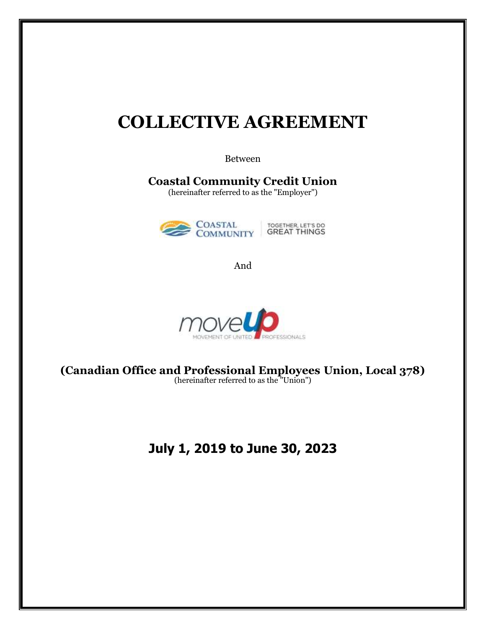## **COLLECTIVE AGREEMENT**

Between

**Coastal Community Credit Union**

(hereinafter referred to as the "Employer")



And



**(Canadian Office and Professional Employees Union, Local 378)** (hereinafter referred to as the "Union")

## **July 1, 2019 to June 30, 2023**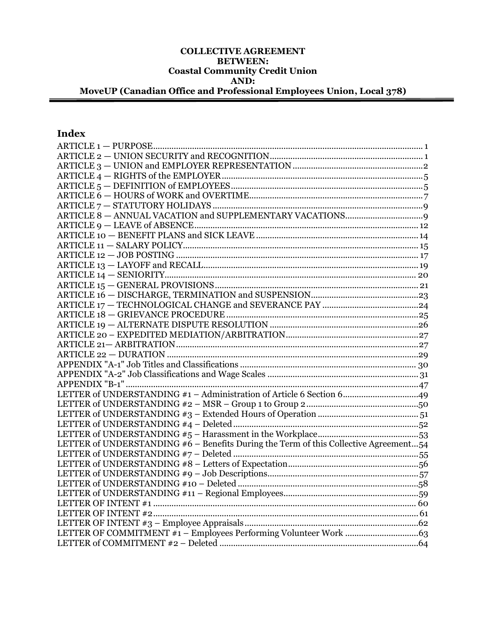#### **COLLECTIVE AGREEMENT BETWEEN: Coastal Community Credit Union AND: MoveUP (Canadian Office and Professional Employees Union, Local 378)**

### **Index**

| LETTER of UNDERSTANDING #1 - Administration of Article 6 Section 649                 |  |
|--------------------------------------------------------------------------------------|--|
|                                                                                      |  |
|                                                                                      |  |
|                                                                                      |  |
|                                                                                      |  |
| LETTER of UNDERSTANDING #6 - Benefits During the Term of this Collective Agreement54 |  |
|                                                                                      |  |
|                                                                                      |  |
|                                                                                      |  |
|                                                                                      |  |
|                                                                                      |  |
|                                                                                      |  |
|                                                                                      |  |
|                                                                                      |  |
|                                                                                      |  |
|                                                                                      |  |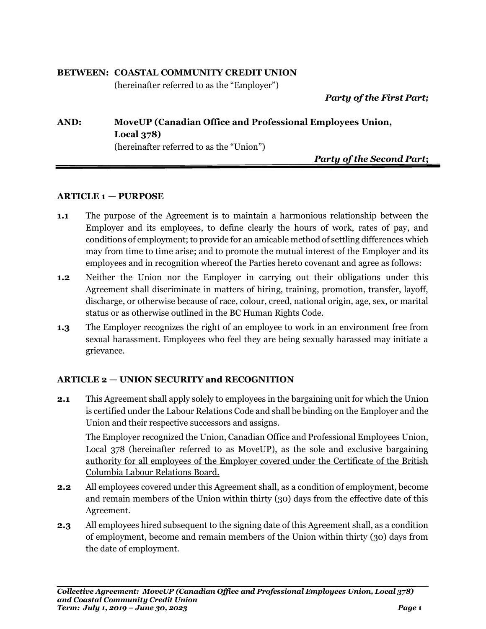### **BETWEEN: COASTAL COMMUNITY CREDIT UNION**

(hereinafter referred to as the "Employer")

*Party of the First Part;*

### **AND: MoveUP (Canadian Office and Professional Employees Union, Local 378)** (hereinafter referred to as the "Union")

*Party of the Second Part***;**

### <span id="page-2-0"></span>**ARTICLE 1 — PURPOSE**

- **1.1** The purpose of the Agreement is to maintain a harmonious relationship between the Employer and its employees, to define clearly the hours of work, rates of pay, and conditions of employment; to provide for an amicable method of settling differences which may from time to time arise; and to promote the mutual interest of the Employer and its employees and in recognition whereof the Parties hereto covenant and agree as follows:
- **1.2** Neither the Union nor the Employer in carrying out their obligations under this Agreement shall discriminate in matters of hiring, training, promotion, transfer, layoff, discharge, or otherwise because of race, colour, creed, national origin, age, sex, or marital status or as otherwise outlined in the BC Human Rights Code.
- **1.3** The Employer recognizes the right of an employee to work in an environment free from sexual harassment. Employees who feel they are being sexually harassed may initiate a grievance.

### <span id="page-2-1"></span>**ARTICLE 2 — UNION SECURITY and RECOGNITION**

**2.1** This Agreement shall apply solely to employees in the bargaining unit for which the Union is certified under the Labour Relations Code and shall be binding on the Employer and the Union and their respective successors and assigns.

The Employer recognized the Union, Canadian Office and Professional Employees Union, Local 378 (hereinafter referred to as MoveUP), as the sole and exclusive bargaining authority for all employees of the Employer covered under the Certificate of the British Columbia Labour Relations Board.

- **2.2** All employees covered under this Agreement shall, as a condition of employment, become and remain members of the Union within thirty (30) days from the effective date of this Agreement.
- **2.3** All employees hired subsequent to the signing date of this Agreement shall, as a condition of employment, become and remain members of the Union within thirty (30) days from the date of employment.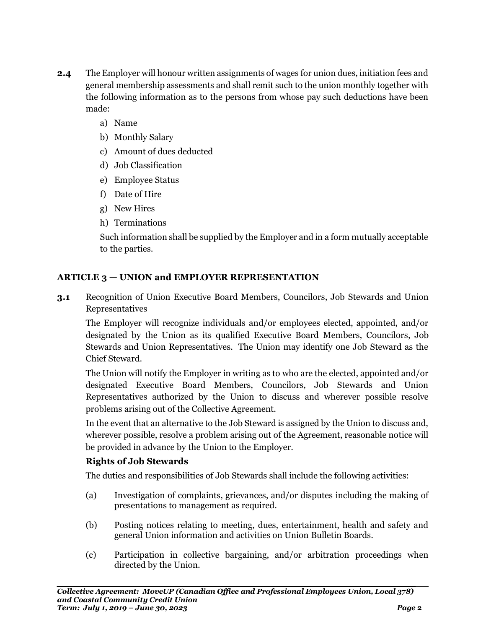- **2.4** The Employer will honour written assignments of wages for union dues, initiation fees and general membership assessments and shall remit such to the union monthly together with the following information as to the persons from whose pay such deductions have been made:
	- a) Name
	- b) Monthly Salary
	- c) Amount of dues deducted
	- d) Job Classification
	- e) Employee Status
	- f) Date of Hire
	- g) New Hires
	- h) Terminations

Such information shall be supplied by the Employer and in a form mutually acceptable to the parties.

### <span id="page-3-0"></span>**ARTICLE 3 — UNION and EMPLOYER REPRESENTATION**

**3.1** Recognition of Union Executive Board Members, Councilors, Job Stewards and Union Representatives

The Employer will recognize individuals and/or employees elected, appointed, and/or designated by the Union as its qualified Executive Board Members, Councilors, Job Stewards and Union Representatives. The Union may identify one Job Steward as the Chief Steward.

The Union will notify the Employer in writing as to who are the elected, appointed and/or designated Executive Board Members, Councilors, Job Stewards and Union Representatives authorized by the Union to discuss and wherever possible resolve problems arising out of the Collective Agreement.

In the event that an alternative to the Job Steward is assigned by the Union to discuss and, wherever possible, resolve a problem arising out of the Agreement, reasonable notice will be provided in advance by the Union to the Employer.

### **Rights of Job Stewards**

The duties and responsibilities of Job Stewards shall include the following activities:

- (a) Investigation of complaints, grievances, and/or disputes including the making of presentations to management as required.
- (b) Posting notices relating to meeting, dues, entertainment, health and safety and general Union information and activities on Union Bulletin Boards.
- (c) Participation in collective bargaining, and/or arbitration proceedings when directed by the Union.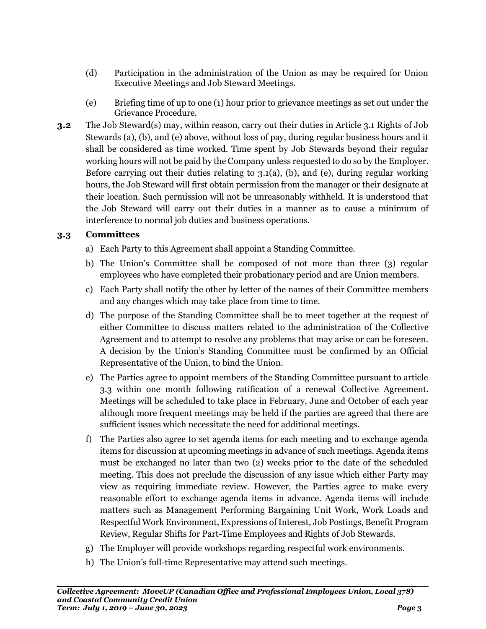- (d) Participation in the administration of the Union as may be required for Union Executive Meetings and Job Steward Meetings.
- (e) Briefing time of up to one (1) hour prior to grievance meetings as set out under the Grievance Procedure.
- **3.2** The Job Steward(s) may, within reason, carry out their duties in Article 3.1 Rights of Job Stewards (a), (b), and (e) above, without loss of pay, during regular business hours and it shall be considered as time worked. Time spent by Job Stewards beyond their regular working hours will not be paid by the Company unless requested to do so by the Employer. Before carrying out their duties relating to  $3.1(a)$ , (b), and (e), during regular working hours, the Job Steward will first obtain permission from the manager or their designate at their location. Such permission will not be unreasonably withheld. It is understood that the Job Steward will carry out their duties in a manner as to cause a minimum of interference to normal job duties and business operations.

### **3.3 Committees**

- a) Each Party to this Agreement shall appoint a Standing Committee.
- b) The Union's Committee shall be composed of not more than three (3) regular employees who have completed their probationary period and are Union members.
- c) Each Party shall notify the other by letter of the names of their Committee members and any changes which may take place from time to time.
- d) The purpose of the Standing Committee shall be to meet together at the request of either Committee to discuss matters related to the administration of the Collective Agreement and to attempt to resolve any problems that may arise or can be foreseen. A decision by the Union's Standing Committee must be confirmed by an Official Representative of the Union, to bind the Union.
- e) The Parties agree to appoint members of the Standing Committee pursuant to article 3.3 within one month following ratification of a renewal Collective Agreement. Meetings will be scheduled to take place in February, June and October of each year although more frequent meetings may be held if the parties are agreed that there are sufficient issues which necessitate the need for additional meetings.
- f) The Parties also agree to set agenda items for each meeting and to exchange agenda items for discussion at upcoming meetings in advance of such meetings. Agenda items must be exchanged no later than two (2) weeks prior to the date of the scheduled meeting. This does not preclude the discussion of any issue which either Party may view as requiring immediate review. However, the Parties agree to make every reasonable effort to exchange agenda items in advance. Agenda items will include matters such as Management Performing Bargaining Unit Work, Work Loads and Respectful Work Environment, Expressions of Interest, Job Postings, Benefit Program Review, Regular Shifts for Part-Time Employees and Rights of Job Stewards.
- g) The Employer will provide workshops regarding respectful work environments.
- h) The Union's full-time Representative may attend such meetings.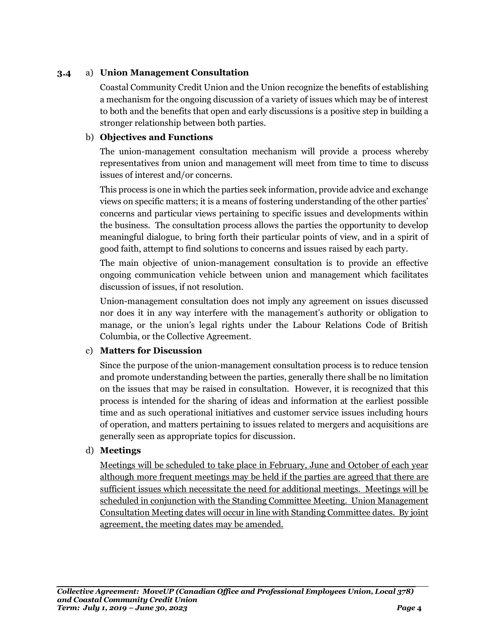### **3.4** a) **Union Management Consultation**

Coastal Community Credit Union and the Union recognize the benefits of establishing a mechanism for the ongoing discussion of a variety of issues which may be of interest to both and the benefits that open and early discussions is a positive step in building a stronger relationship between both parties.

### b) **Objectives and Functions**

The union-management consultation mechanism will provide a process whereby representatives from union and management will meet from time to time to discuss issues of interest and/or concerns.

This process is one in which the parties seek information, provide advice and exchange views on specific matters; it is a means of fostering understanding of the other parties' concerns and particular views pertaining to specific issues and developments within the business. The consultation process allows the parties the opportunity to develop meaningful dialogue, to bring forth their particular points of view, and in a spirit of good faith, attempt to find solutions to concerns and issues raised by each party.

The main objective of union-management consultation is to provide an effective ongoing communication vehicle between union and management which facilitates discussion of issues, if not resolution.

Union-management consultation does not imply any agreement on issues discussed nor does it in any way interfere with the management's authority or obligation to manage, or the union's legal rights under the Labour Relations Code of British Columbia, or the Collective Agreement.

### c) **Matters for Discussion**

Since the purpose of the union-management consultation process is to reduce tension and promote understanding between the parties, generally there shall be no limitation on the issues that may be raised in consultation. However, it is recognized that this process is intended for the sharing of ideas and information at the earliest possible time and as such operational initiatives and customer service issues including hours of operation, and matters pertaining to issues related to mergers and acquisitions are generally seen as appropriate topics for discussion.

### d) **Meetings**

Meetings will be scheduled to take place in February, June and October of each year although more frequent meetings may be held if the parties are agreed that there are sufficient issues which necessitate the need for additional meetings. Meetings will be scheduled in conjunction with the Standing Committee Meeting. Union Management Consultation Meeting dates will occur in line with Standing Committee dates. By joint agreement, the meeting dates may be amended.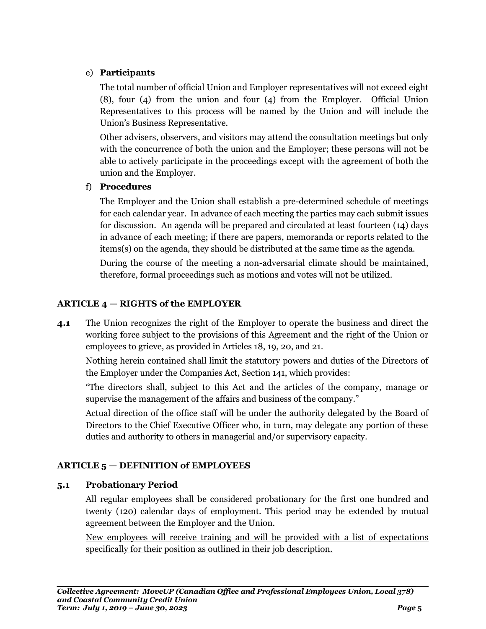### e) **Participants**

The total number of official Union and Employer representatives will not exceed eight (8), four (4) from the union and four (4) from the Employer. Official Union Representatives to this process will be named by the Union and will include the Union's Business Representative.

Other advisers, observers, and visitors may attend the consultation meetings but only with the concurrence of both the union and the Employer; these persons will not be able to actively participate in the proceedings except with the agreement of both the union and the Employer.

### f) **Procedures**

The Employer and the Union shall establish a pre-determined schedule of meetings for each calendar year. In advance of each meeting the parties may each submit issues for discussion. An agenda will be prepared and circulated at least fourteen (14) days in advance of each meeting; if there are papers, memoranda or reports related to the items(s) on the agenda, they should be distributed at the same time as the agenda.

During the course of the meeting a non-adversarial climate should be maintained, therefore, formal proceedings such as motions and votes will not be utilized.

### <span id="page-6-0"></span>**ARTICLE 4 — RIGHTS of the EMPLOYER**

**4.1** The Union recognizes the right of the Employer to operate the business and direct the working force subject to the provisions of this Agreement and the right of the Union or employees to grieve, as provided in Articles 18, 19, 20, and 21.

Nothing herein contained shall limit the statutory powers and duties of the Directors of the Employer under the Companies Act, Section 141, which provides:

"The directors shall, subject to this Act and the articles of the company, manage or supervise the management of the affairs and business of the company."

Actual direction of the office staff will be under the authority delegated by the Board of Directors to the Chief Executive Officer who, in turn, may delegate any portion of these duties and authority to others in managerial and/or supervisory capacity.

### <span id="page-6-1"></span>**ARTICLE 5 — DEFINITION of EMPLOYEES**

### **5.1 Probationary Period**

All regular employees shall be considered probationary for the first one hundred and twenty (120) calendar days of employment. This period may be extended by mutual agreement between the Employer and the Union.

New employees will receive training and will be provided with a list of expectations specifically for their position as outlined in their job description.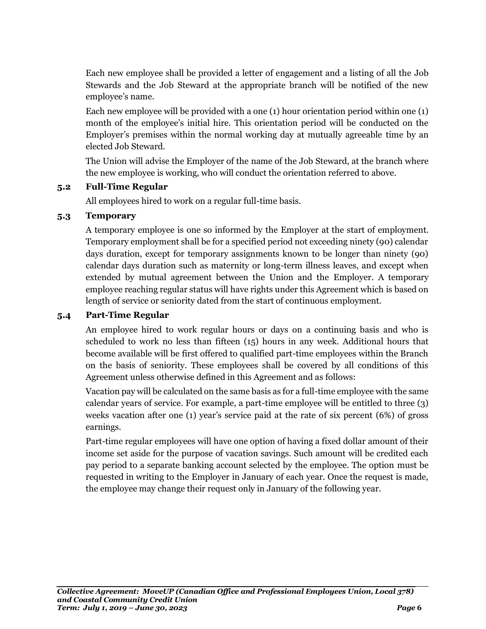Each new employee shall be provided a letter of engagement and a listing of all the Job Stewards and the Job Steward at the appropriate branch will be notified of the new employee's name.

Each new employee will be provided with a one (1) hour orientation period within one (1) month of the employee's initial hire. This orientation period will be conducted on the Employer's premises within the normal working day at mutually agreeable time by an elected Job Steward.

The Union will advise the Employer of the name of the Job Steward, at the branch where the new employee is working, who will conduct the orientation referred to above.

### **5.2 Full-Time Regular**

All employees hired to work on a regular full-time basis.

### **5.3 Temporary**

A temporary employee is one so informed by the Employer at the start of employment. Temporary employment shall be for a specified period not exceeding ninety (90) calendar days duration, except for temporary assignments known to be longer than ninety (90) calendar days duration such as maternity or long-term illness leaves, and except when extended by mutual agreement between the Union and the Employer. A temporary employee reaching regular status will have rights under this Agreement which is based on length of service or seniority dated from the start of continuous employment.

### **5.4 Part-Time Regular**

An employee hired to work regular hours or days on a continuing basis and who is scheduled to work no less than fifteen (15) hours in any week. Additional hours that become available will be first offered to qualified part-time employees within the Branch on the basis of seniority. These employees shall be covered by all conditions of this Agreement unless otherwise defined in this Agreement and as follows:

Vacation pay will be calculated on the same basis as for a full-time employee with the same calendar years of service. For example, a part-time employee will be entitled to three (3) weeks vacation after one (1) year's service paid at the rate of six percent (6%) of gross earnings.

Part-time regular employees will have one option of having a fixed dollar amount of their income set aside for the purpose of vacation savings. Such amount will be credited each pay period to a separate banking account selected by the employee. The option must be requested in writing to the Employer in January of each year. Once the request is made, the employee may change their request only in January of the following year.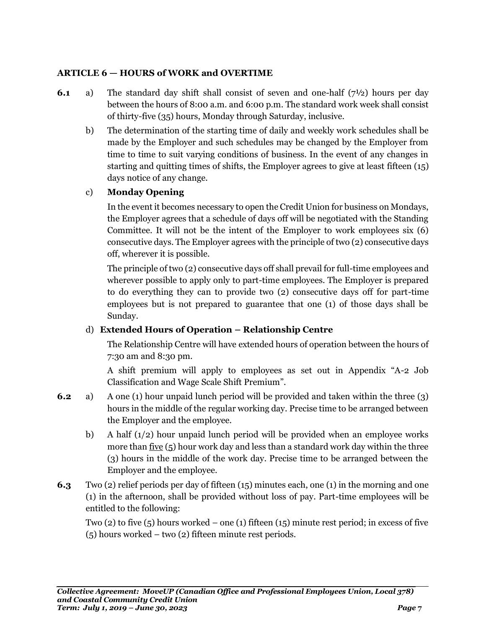### <span id="page-8-0"></span>**ARTICLE 6 — HOURS of WORK and OVERTIME**

- **6.1** a) The standard day shift shall consist of seven and one-half (7½) hours per day between the hours of 8:00 a.m. and 6:00 p.m. The standard work week shall consist of thirty-five (35) hours, Monday through Saturday, inclusive.
	- b) The determination of the starting time of daily and weekly work schedules shall be made by the Employer and such schedules may be changed by the Employer from time to time to suit varying conditions of business. In the event of any changes in starting and quitting times of shifts, the Employer agrees to give at least fifteen (15) days notice of any change.

### c) **Monday Opening**

In the event it becomes necessary to open the Credit Union for business on Mondays, the Employer agrees that a schedule of days off will be negotiated with the Standing Committee. It will not be the intent of the Employer to work employees six (6) consecutive days. The Employer agrees with the principle of two (2) consecutive days off, wherever it is possible.

The principle of two (2) consecutive days off shall prevail for full-time employees and wherever possible to apply only to part-time employees. The Employer is prepared to do everything they can to provide two (2) consecutive days off for part-time employees but is not prepared to guarantee that one (1) of those days shall be Sunday.

### d) **Extended Hours of Operation – Relationship Centre**

The Relationship Centre will have extended hours of operation between the hours of 7:30 am and 8:30 pm.

A shift premium will apply to employees as set out in Appendix "A-2 Job Classification and Wage Scale Shift Premium".

- **6.2** a) A one (1) hour unpaid lunch period will be provided and taken within the three (3) hours in the middle of the regular working day. Precise time to be arranged between the Employer and the employee.
	- b) A half  $(1/2)$  hour unpaid lunch period will be provided when an employee works more than five  $(5)$  hour work day and less than a standard work day within the three (3) hours in the middle of the work day. Precise time to be arranged between the Employer and the employee.
- **6.3** Two (2) relief periods per day of fifteen (15) minutes each, one (1) in the morning and one (1) in the afternoon, shall be provided without loss of pay. Part-time employees will be entitled to the following:

Two (2) to five (5) hours worked – one (1) fifteen (15) minute rest period; in excess of five (5) hours worked – two (2) fifteen minute rest periods.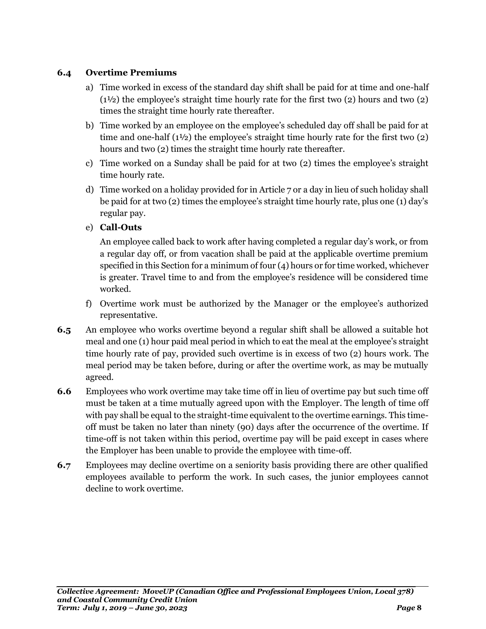### **6.4 Overtime Premiums**

- a) Time worked in excess of the standard day shift shall be paid for at time and one-half (1½) the employee's straight time hourly rate for the first two (2) hours and two (2) times the straight time hourly rate thereafter.
- b) Time worked by an employee on the employee's scheduled day off shall be paid for at time and one-half  $(1^{1/2})$  the employee's straight time hourly rate for the first two  $(2)$ hours and two (2) times the straight time hourly rate thereafter.
- c) Time worked on a Sunday shall be paid for at two (2) times the employee's straight time hourly rate.
- d) Time worked on a holiday provided for in Article 7 or a day in lieu of such holiday shall be paid for at two (2) times the employee's straight time hourly rate, plus one (1) day's regular pay.
- e) **Call-Outs**

An employee called back to work after having completed a regular day's work, or from a regular day off, or from vacation shall be paid at the applicable overtime premium specified in this Section for a minimum of four (4) hours or for time worked, whichever is greater. Travel time to and from the employee's residence will be considered time worked.

- f) Overtime work must be authorized by the Manager or the employee's authorized representative.
- **6.5** An employee who works overtime beyond a regular shift shall be allowed a suitable hot meal and one (1) hour paid meal period in which to eat the meal at the employee's straight time hourly rate of pay, provided such overtime is in excess of two (2) hours work. The meal period may be taken before, during or after the overtime work, as may be mutually agreed.
- **6.6** Employees who work overtime may take time off in lieu of overtime pay but such time off must be taken at a time mutually agreed upon with the Employer. The length of time off with pay shall be equal to the straight-time equivalent to the overtime earnings. This timeoff must be taken no later than ninety (90) days after the occurrence of the overtime. If time-off is not taken within this period, overtime pay will be paid except in cases where the Employer has been unable to provide the employee with time-off.
- **6.7** Employees may decline overtime on a seniority basis providing there are other qualified employees available to perform the work. In such cases, the junior employees cannot decline to work overtime.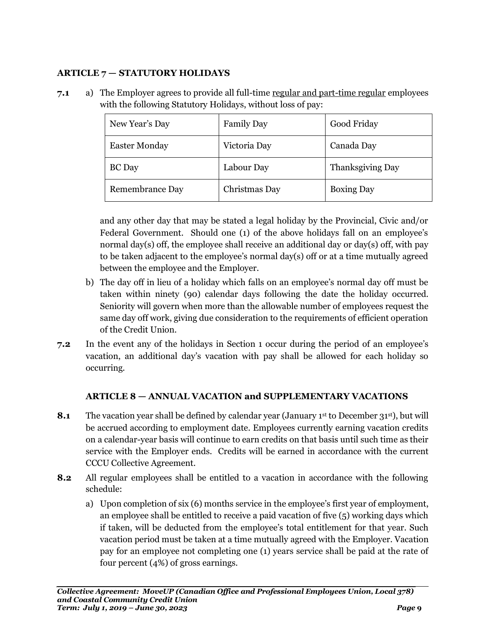### <span id="page-10-0"></span>**ARTICLE 7 — STATUTORY HOLIDAYS**

**7.1** a) The Employer agrees to provide all full-time regular and part-time regular employees with the following Statutory Holidays, without loss of pay:

| New Year's Day       | <b>Family Day</b> | Good Friday       |
|----------------------|-------------------|-------------------|
| <b>Easter Monday</b> | Victoria Day      | Canada Day        |
| <b>BC</b> Day        | Labour Day        | Thanksgiving Day  |
| Remembrance Day      | Christmas Day     | <b>Boxing Day</b> |

and any other day that may be stated a legal holiday by the Provincial, Civic and/or Federal Government. Should one (1) of the above holidays fall on an employee's normal day(s) off, the employee shall receive an additional day or day(s) off, with pay to be taken adjacent to the employee's normal day(s) off or at a time mutually agreed between the employee and the Employer.

- b) The day off in lieu of a holiday which falls on an employee's normal day off must be taken within ninety (90) calendar days following the date the holiday occurred. Seniority will govern when more than the allowable number of employees request the same day off work, giving due consideration to the requirements of efficient operation of the Credit Union.
- **7.2** In the event any of the holidays in Section 1 occur during the period of an employee's vacation, an additional day's vacation with pay shall be allowed for each holiday so occurring.

### <span id="page-10-1"></span>**ARTICLE 8 — ANNUAL VACATION and SUPPLEMENTARY VACATIONS**

- **8.1** The vacation year shall be defined by calendar year (January 1<sup>st</sup> to December 31<sup>st</sup>), but will be accrued according to employment date. Employees currently earning vacation credits on a calendar-year basis will continue to earn credits on that basis until such time as their service with the Employer ends. Credits will be earned in accordance with the current CCCU Collective Agreement.
- **8.2** All regular employees shall be entitled to a vacation in accordance with the following schedule:
	- a) Upon completion of six (6) months service in the employee's first year of employment, an employee shall be entitled to receive a paid vacation of five (5) working days which if taken, will be deducted from the employee's total entitlement for that year. Such vacation period must be taken at a time mutually agreed with the Employer. Vacation pay for an employee not completing one (1) years service shall be paid at the rate of four percent (4%) of gross earnings.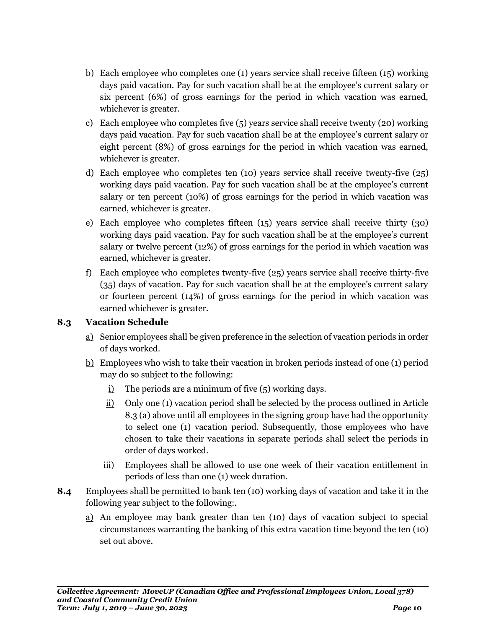- b) Each employee who completes one (1) years service shall receive fifteen (15) working days paid vacation. Pay for such vacation shall be at the employee's current salary or six percent (6%) of gross earnings for the period in which vacation was earned, whichever is greater.
- c) Each employee who completes five (5) years service shall receive twenty (20) working days paid vacation. Pay for such vacation shall be at the employee's current salary or eight percent (8%) of gross earnings for the period in which vacation was earned, whichever is greater.
- d) Each employee who completes ten (10) years service shall receive twenty-five (25) working days paid vacation. Pay for such vacation shall be at the employee's current salary or ten percent (10%) of gross earnings for the period in which vacation was earned, whichever is greater.
- e) Each employee who completes fifteen (15) years service shall receive thirty (30) working days paid vacation. Pay for such vacation shall be at the employee's current salary or twelve percent (12%) of gross earnings for the period in which vacation was earned, whichever is greater.
- f) Each employee who completes twenty-five (25) years service shall receive thirty-five (35) days of vacation. Pay for such vacation shall be at the employee's current salary or fourteen percent (14%) of gross earnings for the period in which vacation was earned whichever is greater.

### **8.3 Vacation Schedule**

- a) Senior employees shall be given preference in the selection of vacation periods in order of days worked.
- b) Employees who wish to take their vacation in broken periods instead of one (1) period may do so subject to the following:
	- i) The periods are a minimum of five (5) working days.
	- ii) Only one (1) vacation period shall be selected by the process outlined in Article 8.3 (a) above until all employees in the signing group have had the opportunity to select one (1) vacation period. Subsequently, those employees who have chosen to take their vacations in separate periods shall select the periods in order of days worked.
	- iii) Employees shall be allowed to use one week of their vacation entitlement in periods of less than one (1) week duration.
- **8.4** Employees shall be permitted to bank ten (10) working days of vacation and take it in the following year subject to the following:.
	- a) An employee may bank greater than ten (10) days of vacation subject to special circumstances warranting the banking of this extra vacation time beyond the ten (10) set out above.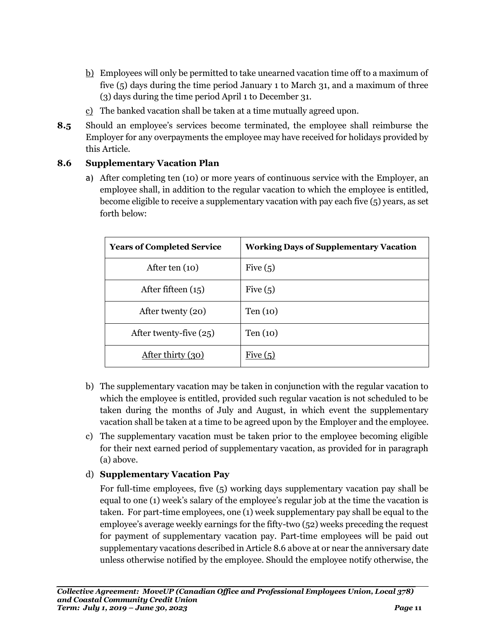- b) Employees will only be permitted to take unearned vacation time off to a maximum of five (5) days during the time period January 1 to March 31, and a maximum of three (3) days during the time period April 1 to December 31.
- c) The banked vacation shall be taken at a time mutually agreed upon.
- **8.5** Should an employee's services become terminated, the employee shall reimburse the Employer for any overpayments the employee may have received for holidays provided by this Article.

### **8.6 Supplementary Vacation Plan**

a) After completing ten (10) or more years of continuous service with the Employer, an employee shall, in addition to the regular vacation to which the employee is entitled, become eligible to receive a supplementary vacation with pay each five (5) years, as set forth below:

| <b>Years of Completed Service</b> | <b>Working Days of Supplementary Vacation</b> |
|-----------------------------------|-----------------------------------------------|
| After ten $(10)$                  | Five $(5)$                                    |
| After fifteen $(15)$              | Five $(5)$                                    |
| After twenty (20)                 | Ten $(10)$                                    |
| After twenty-five $(25)$          | Ten (10)                                      |
| After thirty (30)                 | Five $(5)$                                    |

- b) The supplementary vacation may be taken in conjunction with the regular vacation to which the employee is entitled, provided such regular vacation is not scheduled to be taken during the months of July and August, in which event the supplementary vacation shall be taken at a time to be agreed upon by the Employer and the employee.
- c) The supplementary vacation must be taken prior to the employee becoming eligible for their next earned period of supplementary vacation, as provided for in paragraph (a) above.

### d) **Supplementary Vacation Pay**

For full-time employees, five (5) working days supplementary vacation pay shall be equal to one (1) week's salary of the employee's regular job at the time the vacation is taken. For part-time employees, one (1) week supplementary pay shall be equal to the employee's average weekly earnings for the fifty-two (52) weeks preceding the request for payment of supplementary vacation pay. Part-time employees will be paid out supplementary vacations described in Article 8.6 above at or near the anniversary date unless otherwise notified by the employee. Should the employee notify otherwise, the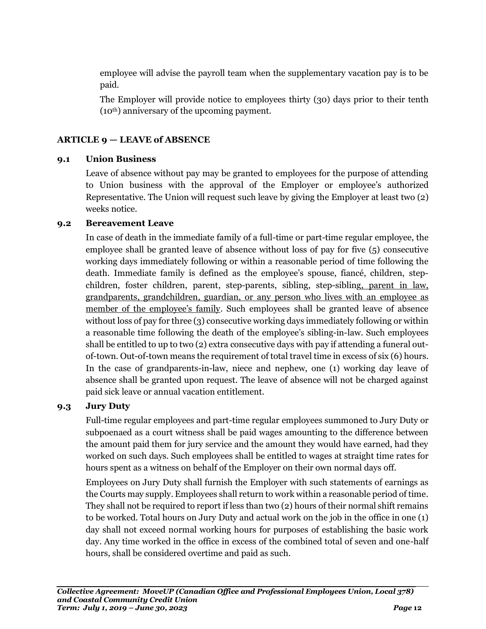employee will advise the payroll team when the supplementary vacation pay is to be paid.

The Employer will provide notice to employees thirty (30) days prior to their tenth (10th) anniversary of the upcoming payment.

### <span id="page-13-0"></span>**ARTICLE 9 — LEAVE of ABSENCE**

### **9.1 Union Business**

Leave of absence without pay may be granted to employees for the purpose of attending to Union business with the approval of the Employer or employee's authorized Representative. The Union will request such leave by giving the Employer at least two (2) weeks notice.

### **9.2 Bereavement Leave**

In case of death in the immediate family of a full-time or part-time regular employee, the employee shall be granted leave of absence without loss of pay for five (5) consecutive working days immediately following or within a reasonable period of time following the death. Immediate family is defined as the employee's spouse, fiancé, children, stepchildren, foster children, parent, step-parents, sibling, step-sibling, parent in law, grandparents, grandchildren, guardian, or any person who lives with an employee as member of the employee's family. Such employees shall be granted leave of absence without loss of pay for three (3) consecutive working days immediately following or within a reasonable time following the death of the employee's sibling-in-law. Such employees shall be entitled to up to two (2) extra consecutive days with pay if attending a funeral outof-town. Out-of-town means the requirement of total travel time in excess of six (6) hours. In the case of grandparents-in-law, niece and nephew, one (1) working day leave of absence shall be granted upon request. The leave of absence will not be charged against paid sick leave or annual vacation entitlement.

### **9.3 Jury Duty**

Full-time regular employees and part-time regular employees summoned to Jury Duty or subpoenaed as a court witness shall be paid wages amounting to the difference between the amount paid them for jury service and the amount they would have earned, had they worked on such days. Such employees shall be entitled to wages at straight time rates for hours spent as a witness on behalf of the Employer on their own normal days off.

Employees on Jury Duty shall furnish the Employer with such statements of earnings as the Courts may supply. Employees shall return to work within a reasonable period of time. They shall not be required to report if less than two (2) hours of their normal shift remains to be worked. Total hours on Jury Duty and actual work on the job in the office in one (1) day shall not exceed normal working hours for purposes of establishing the basic work day. Any time worked in the office in excess of the combined total of seven and one-half hours, shall be considered overtime and paid as such.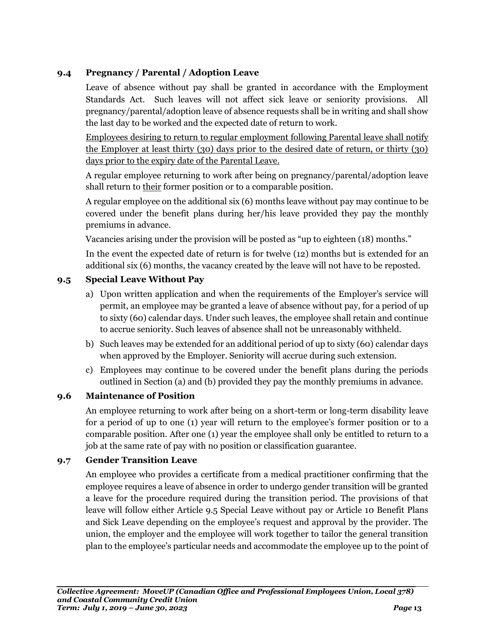### **9.4 Pregnancy / Parental / Adoption Leave**

Leave of absence without pay shall be granted in accordance with the Employment Standards Act. Such leaves will not affect sick leave or seniority provisions. All pregnancy/parental/adoption leave of absence requests shall be in writing and shall show the last day to be worked and the expected date of return to work.

Employees desiring to return to regular employment following Parental leave shall notify the Employer at least thirty (30) days prior to the desired date of return, or thirty (30) days prior to the expiry date of the Parental Leave.

A regular employee returning to work after being on pregnancy/parental/adoption leave shall return to their former position or to a comparable position.

A regular employee on the additional six (6) months leave without pay may continue to be covered under the benefit plans during her/his leave provided they pay the monthly premiums in advance.

Vacancies arising under the provision will be posted as "up to eighteen (18) months."

In the event the expected date of return is for twelve (12) months but is extended for an additional six (6) months, the vacancy created by the leave will not have to be reposted.

### **9.5 Special Leave Without Pay**

- a) Upon written application and when the requirements of the Employer's service will permit, an employee may be granted a leave of absence without pay, for a period of up to sixty (60) calendar days. Under such leaves, the employee shall retain and continue to accrue seniority. Such leaves of absence shall not be unreasonably withheld.
- b) Such leaves may be extended for an additional period of up to sixty (60) calendar days when approved by the Employer. Seniority will accrue during such extension.
- c) Employees may continue to be covered under the benefit plans during the periods outlined in Section (a) and (b) provided they pay the monthly premiums in advance.

### **9.6 Maintenance of Position**

An employee returning to work after being on a short-term or long-term disability leave for a period of up to one (1) year will return to the employee's former position or to a comparable position. After one (1) year the employee shall only be entitled to return to a job at the same rate of pay with no position or classification guarantee.

### **9.7 Gender Transition Leave**

An employee who provides a certificate from a medical practitioner confirming that the employee requires a leave of absence in order to undergo gender transition will be granted a leave for the procedure required during the transition period. The provisions of that leave will follow either Article 9.5 Special Leave without pay or Article 10 Benefit Plans and Sick Leave depending on the employee's request and approval by the provider. The union, the employer and the employee will work together to tailor the general transition plan to the employee's particular needs and accommodate the employee up to the point of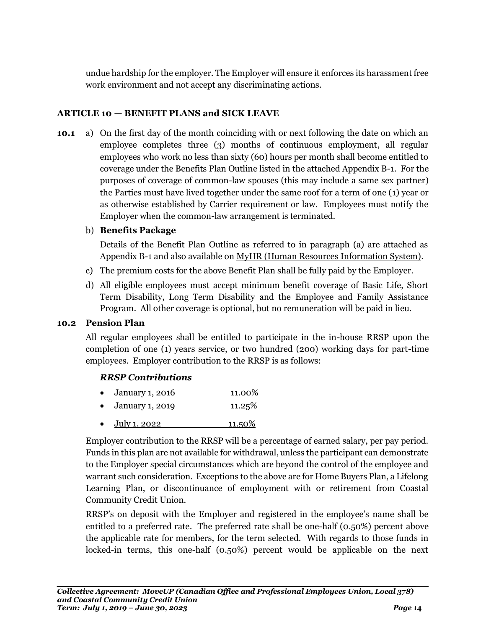undue hardship for the employer. The Employer will ensure it enforces its harassment free work environment and not accept any discriminating actions.

### <span id="page-15-0"></span>**ARTICLE 10 — BENEFIT PLANS and SICK LEAVE**

**10.1** a) On the first day of the month coinciding with or next following the date on which an employee completes three (3) months of continuous employment, all regular employees who work no less than sixty (60) hours per month shall become entitled to coverage under the Benefits Plan Outline listed in the attached Appendix B-1. For the purposes of coverage of common-law spouses (this may include a same sex partner) the Parties must have lived together under the same roof for a term of one (1) year or as otherwise established by Carrier requirement or law. Employees must notify the Employer when the common-law arrangement is terminated.

### b) **Benefits Package**

Details of the Benefit Plan Outline as referred to in paragraph (a) are attached as Appendix B-1 and also available on MyHR (Human Resources Information System).

- c) The premium costs for the above Benefit Plan shall be fully paid by the Employer.
- d) All eligible employees must accept minimum benefit coverage of Basic Life, Short Term Disability, Long Term Disability and the Employee and Family Assistance Program. All other coverage is optional, but no remuneration will be paid in lieu.

### **10.2 Pension Plan**

All regular employees shall be entitled to participate in the in-house RRSP upon the completion of one (1) years service, or two hundred (200) working days for part-time employees. Employer contribution to the RRSP is as follows:

### *RRSP Contributions*

| $\bullet$ January 1, 2016 | 11.00% |
|---------------------------|--------|
|                           |        |

- January 1, 2019 11.25%
- $\bullet$  July 1, 2022 11.50%

Employer contribution to the RRSP will be a percentage of earned salary, per pay period. Funds in this plan are not available for withdrawal, unless the participant can demonstrate to the Employer special circumstances which are beyond the control of the employee and warrant such consideration. Exceptions to the above are for Home Buyers Plan, a Lifelong Learning Plan, or discontinuance of employment with or retirement from Coastal Community Credit Union.

RRSP's on deposit with the Employer and registered in the employee's name shall be entitled to a preferred rate. The preferred rate shall be one-half (0.50%) percent above the applicable rate for members, for the term selected. With regards to those funds in locked-in terms, this one-half (0.50%) percent would be applicable on the next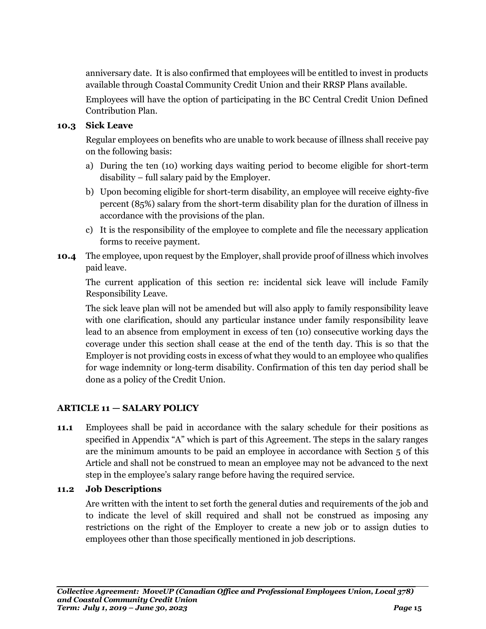anniversary date. It is also confirmed that employees will be entitled to invest in products available through Coastal Community Credit Union and their RRSP Plans available.

Employees will have the option of participating in the BC Central Credit Union Defined Contribution Plan.

### **10.3 Sick Leave**

Regular employees on benefits who are unable to work because of illness shall receive pay on the following basis:

- a) During the ten (10) working days waiting period to become eligible for short-term disability – full salary paid by the Employer.
- b) Upon becoming eligible for short-term disability, an employee will receive eighty-five percent (85%) salary from the short-term disability plan for the duration of illness in accordance with the provisions of the plan.
- c) It is the responsibility of the employee to complete and file the necessary application forms to receive payment.
- **10.4** The employee, upon request by the Employer, shall provide proof of illness which involves paid leave.

The current application of this section re: incidental sick leave will include Family Responsibility Leave.

The sick leave plan will not be amended but will also apply to family responsibility leave with one clarification, should any particular instance under family responsibility leave lead to an absence from employment in excess of ten (10) consecutive working days the coverage under this section shall cease at the end of the tenth day. This is so that the Employer is not providing costs in excess of what they would to an employee who qualifies for wage indemnity or long-term disability. Confirmation of this ten day period shall be done as a policy of the Credit Union.

### <span id="page-16-0"></span>**ARTICLE 11 — SALARY POLICY**

**11.1** Employees shall be paid in accordance with the salary schedule for their positions as specified in Appendix "A" which is part of this Agreement. The steps in the salary ranges are the minimum amounts to be paid an employee in accordance with Section 5 of this Article and shall not be construed to mean an employee may not be advanced to the next step in the employee's salary range before having the required service.

### **11.2 Job Descriptions**

Are written with the intent to set forth the general duties and requirements of the job and to indicate the level of skill required and shall not be construed as imposing any restrictions on the right of the Employer to create a new job or to assign duties to employees other than those specifically mentioned in job descriptions.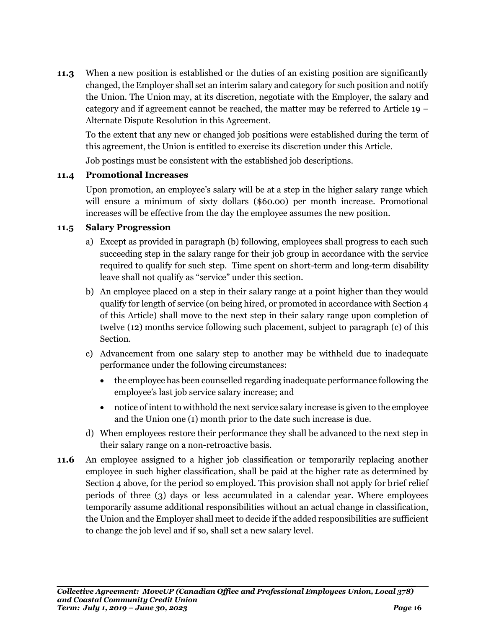**11.3** When a new position is established or the duties of an existing position are significantly changed, the Employer shall set an interim salary and category for such position and notify the Union. The Union may, at its discretion, negotiate with the Employer, the salary and category and if agreement cannot be reached, the matter may be referred to Article 19 – Alternate Dispute Resolution in this Agreement.

To the extent that any new or changed job positions were established during the term of this agreement, the Union is entitled to exercise its discretion under this Article.

Job postings must be consistent with the established job descriptions.

### **11.4 Promotional Increases**

Upon promotion, an employee's salary will be at a step in the higher salary range which will ensure a minimum of sixty dollars (\$60.00) per month increase. Promotional increases will be effective from the day the employee assumes the new position.

### **11.5 Salary Progression**

- a) Except as provided in paragraph (b) following, employees shall progress to each such succeeding step in the salary range for their job group in accordance with the service required to qualify for such step. Time spent on short-term and long-term disability leave shall not qualify as "service" under this section.
- b) An employee placed on a step in their salary range at a point higher than they would qualify for length of service (on being hired, or promoted in accordance with Section 4 of this Article) shall move to the next step in their salary range upon completion of twelve (12) months service following such placement, subject to paragraph (c) of this Section.
- c) Advancement from one salary step to another may be withheld due to inadequate performance under the following circumstances:
	- the employee has been counselled regarding inadequate performance following the employee's last job service salary increase; and
	- notice of intent to withhold the next service salary increase is given to the employee and the Union one (1) month prior to the date such increase is due.
- d) When employees restore their performance they shall be advanced to the next step in their salary range on a non-retroactive basis.
- **11.6** An employee assigned to a higher job classification or temporarily replacing another employee in such higher classification, shall be paid at the higher rate as determined by Section 4 above, for the period so employed. This provision shall not apply for brief relief periods of three (3) days or less accumulated in a calendar year. Where employees temporarily assume additional responsibilities without an actual change in classification, the Union and the Employer shall meet to decide if the added responsibilities are sufficient to change the job level and if so, shall set a new salary level.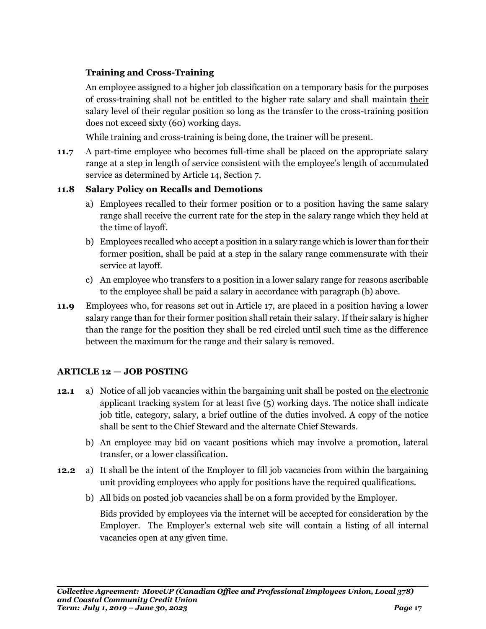### **Training and Cross-Training**

An employee assigned to a higher job classification on a temporary basis for the purposes of cross-training shall not be entitled to the higher rate salary and shall maintain their salary level of their regular position so long as the transfer to the cross-training position does not exceed sixty (60) working days.

While training and cross-training is being done, the trainer will be present.

**11.7** A part-time employee who becomes full-time shall be placed on the appropriate salary range at a step in length of service consistent with the employee's length of accumulated service as determined by Article 14, Section 7.

### **11.8 Salary Policy on Recalls and Demotions**

- a) Employees recalled to their former position or to a position having the same salary range shall receive the current rate for the step in the salary range which they held at the time of layoff.
- b) Employees recalled who accept a position in a salary range which is lower than for their former position, shall be paid at a step in the salary range commensurate with their service at layoff.
- c) An employee who transfers to a position in a lower salary range for reasons ascribable to the employee shall be paid a salary in accordance with paragraph (b) above.
- **11.9** Employees who, for reasons set out in Article 17, are placed in a position having a lower salary range than for their former position shall retain their salary. If their salary is higher than the range for the position they shall be red circled until such time as the difference between the maximum for the range and their salary is removed.

### <span id="page-18-0"></span>**ARTICLE 12 — JOB POSTING**

- **12.1** a) Notice of all job vacancies within the bargaining unit shall be posted on the electronic applicant tracking system for at least five (5) working days. The notice shall indicate job title, category, salary, a brief outline of the duties involved. A copy of the notice shall be sent to the Chief Steward and the alternate Chief Stewards.
	- b) An employee may bid on vacant positions which may involve a promotion, lateral transfer, or a lower classification.
- **12.2** a) It shall be the intent of the Employer to fill job vacancies from within the bargaining unit providing employees who apply for positions have the required qualifications.
	- b) All bids on posted job vacancies shall be on a form provided by the Employer.

Bids provided by employees via the internet will be accepted for consideration by the Employer. The Employer's external web site will contain a listing of all internal vacancies open at any given time.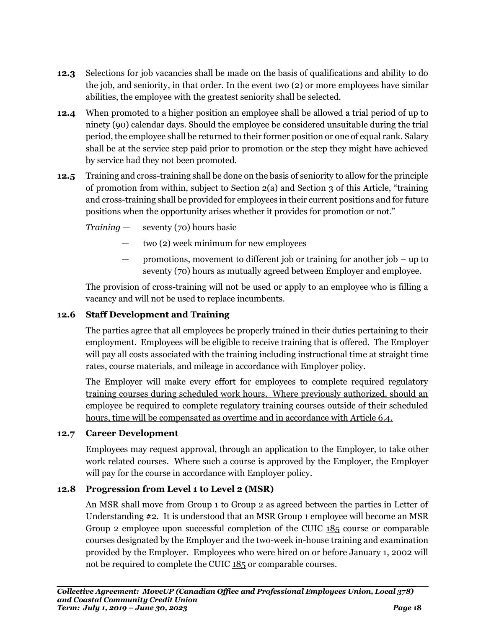- **12.3** Selections for job vacancies shall be made on the basis of qualifications and ability to do the job, and seniority, in that order. In the event two (2) or more employees have similar abilities, the employee with the greatest seniority shall be selected.
- **12.4** When promoted to a higher position an employee shall be allowed a trial period of up to ninety (90) calendar days. Should the employee be considered unsuitable during the trial period, the employee shall be returned to their former position or one of equal rank. Salary shall be at the service step paid prior to promotion or the step they might have achieved by service had they not been promoted.
- **12.5** Training and cross-training shall be done on the basis of seniority to allow for the principle of promotion from within, subject to Section 2(a) and Section 3 of this Article, "training and cross-training shall be provided for employees in their current positions and for future positions when the opportunity arises whether it provides for promotion or not."

*Training* — seventy (70) hours basic

- two (2) week minimum for new employees
- promotions, movement to different job or training for another job up to seventy (70) hours as mutually agreed between Employer and employee.

The provision of cross-training will not be used or apply to an employee who is filling a vacancy and will not be used to replace incumbents.

### **12.6 Staff Development and Training**

The parties agree that all employees be properly trained in their duties pertaining to their employment. Employees will be eligible to receive training that is offered. The Employer will pay all costs associated with the training including instructional time at straight time rates, course materials, and mileage in accordance with Employer policy.

The Employer will make every effort for employees to complete required regulatory training courses during scheduled work hours. Where previously authorized, should an employee be required to complete regulatory training courses outside of their scheduled hours, time will be compensated as overtime and in accordance with Article 6.4.

### **12.7 Career Development**

Employees may request approval, through an application to the Employer, to take other work related courses. Where such a course is approved by the Employer, the Employer will pay for the course in accordance with Employer policy.

### **12.8 Progression from Level 1 to Level 2 (MSR)**

An MSR shall move from Group 1 to Group 2 as agreed between the parties in Letter of Understanding #2. It is understood that an MSR Group 1 employee will become an MSR Group 2 employee upon successful completion of the CUIC 185 course or comparable courses designated by the Employer and the two-week in-house training and examination provided by the Employer. Employees who were hired on or before January 1, 2002 will not be required to complete the CUIC 185 or comparable courses.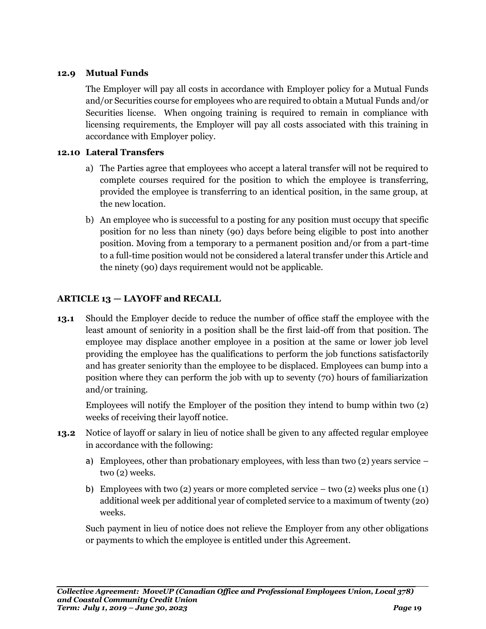### **12.9 Mutual Funds**

The Employer will pay all costs in accordance with Employer policy for a Mutual Funds and/or Securities course for employees who are required to obtain a Mutual Funds and/or Securities license. When ongoing training is required to remain in compliance with licensing requirements, the Employer will pay all costs associated with this training in accordance with Employer policy.

### **12.10 Lateral Transfers**

- a) The Parties agree that employees who accept a lateral transfer will not be required to complete courses required for the position to which the employee is transferring, provided the employee is transferring to an identical position, in the same group, at the new location.
- b) An employee who is successful to a posting for any position must occupy that specific position for no less than ninety (90) days before being eligible to post into another position. Moving from a temporary to a permanent position and/or from a part-time to a full-time position would not be considered a lateral transfer under this Article and the ninety (90) days requirement would not be applicable.

### <span id="page-20-0"></span>**ARTICLE 13 — LAYOFF and RECALL**

**13.1** Should the Employer decide to reduce the number of office staff the employee with the least amount of seniority in a position shall be the first laid-off from that position. The employee may displace another employee in a position at the same or lower job level providing the employee has the qualifications to perform the job functions satisfactorily and has greater seniority than the employee to be displaced. Employees can bump into a position where they can perform the job with up to seventy (70) hours of familiarization and/or training.

Employees will notify the Employer of the position they intend to bump within two (2) weeks of receiving their layoff notice.

- **13.2** Notice of layoff or salary in lieu of notice shall be given to any affected regular employee in accordance with the following:
	- a) Employees, other than probationary employees, with less than two  $(2)$  years service two (2) weeks.
	- b) Employees with two (2) years or more completed service two (2) weeks plus one (1) additional week per additional year of completed service to a maximum of twenty (20) weeks.

Such payment in lieu of notice does not relieve the Employer from any other obligations or payments to which the employee is entitled under this Agreement.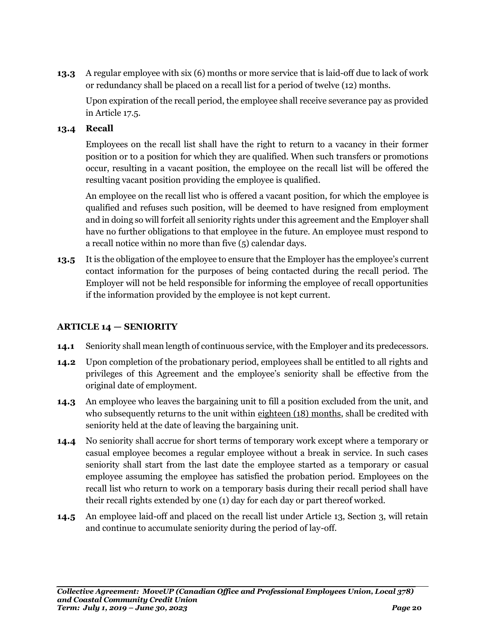**13.3** A regular employee with six (6) months or more service that is laid-off due to lack of work or redundancy shall be placed on a recall list for a period of twelve (12) months.

Upon expiration of the recall period, the employee shall receive severance pay as provided in Article 17.5.

### **13.4 Recall**

Employees on the recall list shall have the right to return to a vacancy in their former position or to a position for which they are qualified. When such transfers or promotions occur, resulting in a vacant position, the employee on the recall list will be offered the resulting vacant position providing the employee is qualified.

An employee on the recall list who is offered a vacant position, for which the employee is qualified and refuses such position, will be deemed to have resigned from employment and in doing so will forfeit all seniority rights under this agreement and the Employer shall have no further obligations to that employee in the future. An employee must respond to a recall notice within no more than five (5) calendar days.

**13.5** It is the obligation of the employee to ensure that the Employer has the employee's current contact information for the purposes of being contacted during the recall period. The Employer will not be held responsible for informing the employee of recall opportunities if the information provided by the employee is not kept current.

### <span id="page-21-0"></span>**ARTICLE 14 — SENIORITY**

- **14.1** Seniority shall mean length of continuous service, with the Employer and its predecessors.
- **14.2** Upon completion of the probationary period, employees shall be entitled to all rights and privileges of this Agreement and the employee's seniority shall be effective from the original date of employment.
- **14.3** An employee who leaves the bargaining unit to fill a position excluded from the unit, and who subsequently returns to the unit within eighteen (18) months, shall be credited with seniority held at the date of leaving the bargaining unit.
- **14.4** No seniority shall accrue for short terms of temporary work except where a temporary or casual employee becomes a regular employee without a break in service. In such cases seniority shall start from the last date the employee started as a temporary or casual employee assuming the employee has satisfied the probation period. Employees on the recall list who return to work on a temporary basis during their recall period shall have their recall rights extended by one (1) day for each day or part thereof worked.
- **14.5** An employee laid-off and placed on the recall list under Article 13, Section 3, will retain and continue to accumulate seniority during the period of lay-off.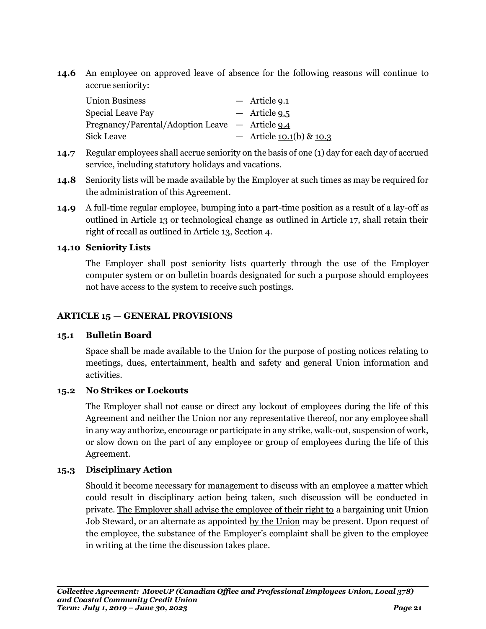**14.6** An employee on approved leave of absence for the following reasons will continue to accrue seniority:

| <b>Union Business</b>                           | $-$ Article 9.1              |
|-------------------------------------------------|------------------------------|
| Special Leave Pay                               | $-$ Article 9.5              |
| Pregnancy/Parental/Adoption Leave — Article 9.4 |                              |
| Sick Leave                                      | - Article $10.1(b)$ & $10.3$ |

- **14.7** Regular employees shall accrue seniority on the basis of one (1) day for each day of accrued service, including statutory holidays and vacations.
- **14.8** Seniority lists will be made available by the Employer at such times as may be required for the administration of this Agreement.
- **14.9** A full-time regular employee, bumping into a part-time position as a result of a lay-off as outlined in Article 13 or technological change as outlined in Article 17, shall retain their right of recall as outlined in Article 13, Section 4.

### **14.10 Seniority Lists**

The Employer shall post seniority lists quarterly through the use of the Employer computer system or on bulletin boards designated for such a purpose should employees not have access to the system to receive such postings.

### <span id="page-22-0"></span>**ARTICLE 15 — GENERAL PROVISIONS**

### **15.1 Bulletin Board**

Space shall be made available to the Union for the purpose of posting notices relating to meetings, dues, entertainment, health and safety and general Union information and activities.

### **15.2 No Strikes or Lockouts**

The Employer shall not cause or direct any lockout of employees during the life of this Agreement and neither the Union nor any representative thereof, nor any employee shall in any way authorize, encourage or participate in any strike, walk-out, suspension of work, or slow down on the part of any employee or group of employees during the life of this Agreement.

### **15.3 Disciplinary Action**

Should it become necessary for management to discuss with an employee a matter which could result in disciplinary action being taken, such discussion will be conducted in private. The Employer shall advise the employee of their right to a bargaining unit Union Job Steward, or an alternate as appointed by the Union may be present. Upon request of the employee, the substance of the Employer's complaint shall be given to the employee in writing at the time the discussion takes place.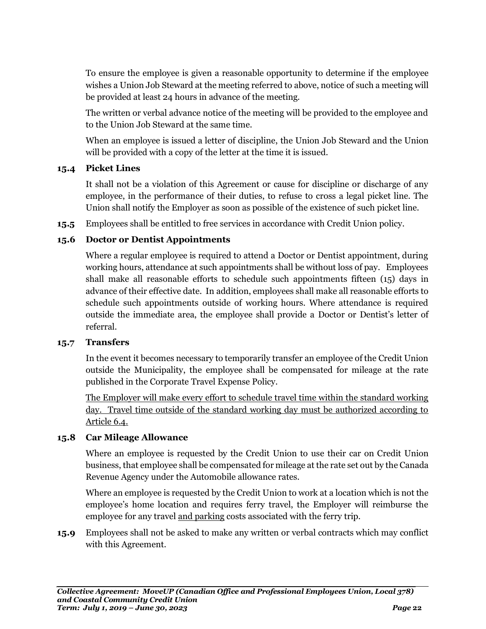To ensure the employee is given a reasonable opportunity to determine if the employee wishes a Union Job Steward at the meeting referred to above, notice of such a meeting will be provided at least 24 hours in advance of the meeting.

The written or verbal advance notice of the meeting will be provided to the employee and to the Union Job Steward at the same time.

When an employee is issued a letter of discipline, the Union Job Steward and the Union will be provided with a copy of the letter at the time it is issued.

### **15.4 Picket Lines**

It shall not be a violation of this Agreement or cause for discipline or discharge of any employee, in the performance of their duties, to refuse to cross a legal picket line. The Union shall notify the Employer as soon as possible of the existence of such picket line.

**15.5** Employees shall be entitled to free services in accordance with Credit Union policy.

### **15.6 Doctor or Dentist Appointments**

Where a regular employee is required to attend a Doctor or Dentist appointment, during working hours, attendance at such appointments shall be without loss of pay. Employees shall make all reasonable efforts to schedule such appointments fifteen (15) days in advance of their effective date. In addition, employees shall make all reasonable efforts to schedule such appointments outside of working hours. Where attendance is required outside the immediate area, the employee shall provide a Doctor or Dentist's letter of referral.

### **15.7 Transfers**

In the event it becomes necessary to temporarily transfer an employee of the Credit Union outside the Municipality, the employee shall be compensated for mileage at the rate published in the Corporate Travel Expense Policy.

The Employer will make every effort to schedule travel time within the standard working day. Travel time outside of the standard working day must be authorized according to Article 6.4.

### **15.8 Car Mileage Allowance**

Where an employee is requested by the Credit Union to use their car on Credit Union business, that employee shall be compensated for mileage at the rate set out by the Canada Revenue Agency under the Automobile allowance rates.

Where an employee is requested by the Credit Union to work at a location which is not the employee's home location and requires ferry travel, the Employer will reimburse the employee for any travel and parking costs associated with the ferry trip.

**15.9** Employees shall not be asked to make any written or verbal contracts which may conflict with this Agreement.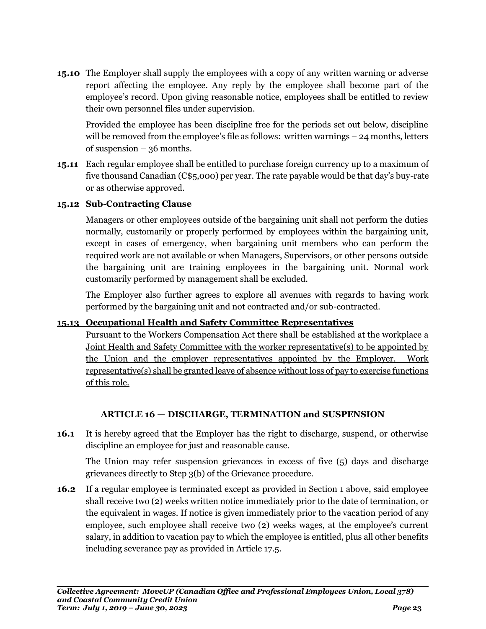**15.10** The Employer shall supply the employees with a copy of any written warning or adverse report affecting the employee. Any reply by the employee shall become part of the employee's record. Upon giving reasonable notice, employees shall be entitled to review their own personnel files under supervision.

Provided the employee has been discipline free for the periods set out below, discipline will be removed from the employee's file as follows: written warnings – 24 months, letters of suspension – 36 months.

**15.11** Each regular employee shall be entitled to purchase foreign currency up to a maximum of five thousand Canadian (C\$5,000) per year. The rate payable would be that day's buy-rate or as otherwise approved.

### **15.12 Sub-Contracting Clause**

Managers or other employees outside of the bargaining unit shall not perform the duties normally, customarily or properly performed by employees within the bargaining unit, except in cases of emergency, when bargaining unit members who can perform the required work are not available or when Managers, Supervisors, or other persons outside the bargaining unit are training employees in the bargaining unit. Normal work customarily performed by management shall be excluded.

The Employer also further agrees to explore all avenues with regards to having work performed by the bargaining unit and not contracted and/or sub-contracted.

### **15.13 Occupational Health and Safety Committee Representatives**

Pursuant to the Workers Compensation Act there shall be established at the workplace a Joint Health and Safety Committee with the worker representative(s) to be appointed by the Union and the employer representatives appointed by the Employer. Work representative(s) shall be granted leave of absence without loss of pay to exercise functions of this role.

### **ARTICLE 16 — DISCHARGE, TERMINATION and SUSPENSION**

<span id="page-24-0"></span>**16.1** It is hereby agreed that the Employer has the right to discharge, suspend, or otherwise discipline an employee for just and reasonable cause.

The Union may refer suspension grievances in excess of five (5) days and discharge grievances directly to Step 3(b) of the Grievance procedure.

**16.2** If a regular employee is terminated except as provided in Section 1 above, said employee shall receive two (2) weeks written notice immediately prior to the date of termination, or the equivalent in wages. If notice is given immediately prior to the vacation period of any employee, such employee shall receive two (2) weeks wages, at the employee's current salary, in addition to vacation pay to which the employee is entitled, plus all other benefits including severance pay as provided in Article 17.5.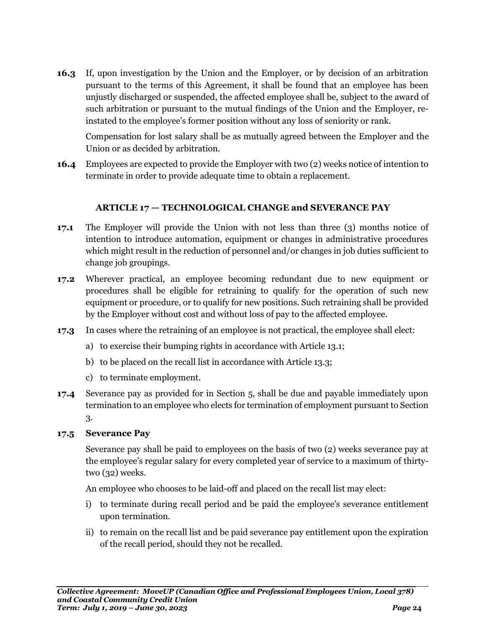**16.3** If, upon investigation by the Union and the Employer, or by decision of an arbitration pursuant to the terms of this Agreement, it shall be found that an employee has been unjustly discharged or suspended, the affected employee shall be, subject to the award of such arbitration or pursuant to the mutual findings of the Union and the Employer, reinstated to the employee's former position without any loss of seniority or rank.

Compensation for lost salary shall be as mutually agreed between the Employer and the Union or as decided by arbitration.

**16.4** Employees are expected to provide the Employer with two (2) weeks notice of intention to terminate in order to provide adequate time to obtain a replacement.

### **ARTICLE 17 — TECHNOLOGICAL CHANGE and SEVERANCE PAY**

- <span id="page-25-0"></span>**17.1** The Employer will provide the Union with not less than three (3) months notice of intention to introduce automation, equipment or changes in administrative procedures which might result in the reduction of personnel and/or changes in job duties sufficient to change job groupings.
- **17.2** Wherever practical, an employee becoming redundant due to new equipment or procedures shall be eligible for retraining to qualify for the operation of such new equipment or procedure, or to qualify for new positions. Such retraining shall be provided by the Employer without cost and without loss of pay to the affected employee.
- **17.3** In cases where the retraining of an employee is not practical, the employee shall elect:
	- a) to exercise their bumping rights in accordance with Article 13.1;
	- b) to be placed on the recall list in accordance with Article 13.3;
	- c) to terminate employment.
- **17.4** Severance pay as provided for in Section 5, shall be due and payable immediately upon termination to an employee who elects for termination of employment pursuant to Section 3.

### **17.5 Severance Pay**

Severance pay shall be paid to employees on the basis of two (2) weeks severance pay at the employee's regular salary for every completed year of service to a maximum of thirtytwo (32) weeks.

An employee who chooses to be laid-off and placed on the recall list may elect:

- i) to terminate during recall period and be paid the employee's severance entitlement upon termination.
- ii) to remain on the recall list and be paid severance pay entitlement upon the expiration of the recall period, should they not be recalled.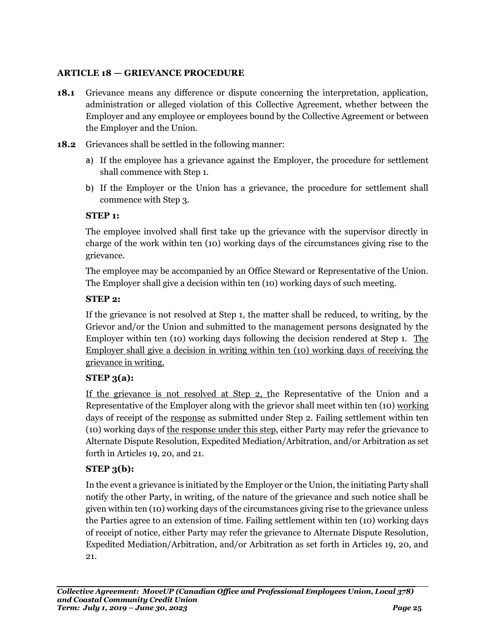### <span id="page-26-0"></span>**ARTICLE 18 — GRIEVANCE PROCEDURE**

- **18.1** Grievance means any difference or dispute concerning the interpretation, application, administration or alleged violation of this Collective Agreement, whether between the Employer and any employee or employees bound by the Collective Agreement or between the Employer and the Union.
- **18.2** Grievances shall be settled in the following manner:
	- a) If the employee has a grievance against the Employer, the procedure for settlement shall commence with Step 1.
	- b) If the Employer or the Union has a grievance, the procedure for settlement shall commence with Step 3.

### **STEP 1:**

The employee involved shall first take up the grievance with the supervisor directly in charge of the work within ten (10) working days of the circumstances giving rise to the grievance.

The employee may be accompanied by an Office Steward or Representative of the Union. The Employer shall give a decision within ten (10) working days of such meeting.

### **STEP 2:**

If the grievance is not resolved at Step 1, the matter shall be reduced, to writing, by the Grievor and/or the Union and submitted to the management persons designated by the Employer within ten (10) working days following the decision rendered at Step 1. The Employer shall give a decision in writing within ten (10) working days of receiving the grievance in writing.

### **STEP 3(a):**

If the grievance is not resolved at Step 2, the Representative of the Union and a Representative of the Employer along with the grievor shall meet within ten (10) working days of receipt of the response as submitted under Step 2. Failing settlement within ten (10) working days of the response under this step, either Party may refer the grievance to Alternate Dispute Resolution, Expedited Mediation/Arbitration, and/or Arbitration as set forth in Articles 19, 20, and 21.

### **STEP 3(b):**

In the event a grievance is initiated by the Employer or the Union, the initiating Party shall notify the other Party, in writing, of the nature of the grievance and such notice shall be given within ten (10) working days of the circumstances giving rise to the grievance unless the Parties agree to an extension of time. Failing settlement within ten (10) working days of receipt of notice, either Party may refer the grievance to Alternate Dispute Resolution, Expedited Mediation/Arbitration, and/or Arbitration as set forth in Articles 19, 20, and 21.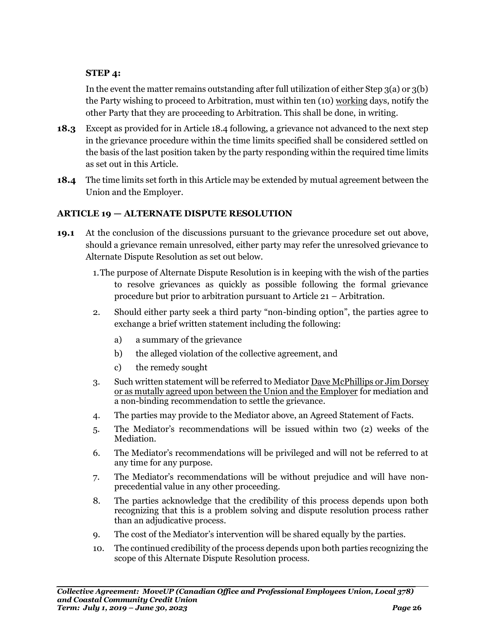### **STEP 4:**

In the event the matter remains outstanding after full utilization of either Step 3(a) or 3(b) the Party wishing to proceed to Arbitration, must within ten (10) working days, notify the other Party that they are proceeding to Arbitration. This shall be done, in writing.

- **18.3** Except as provided for in Article 18.4 following, a grievance not advanced to the next step in the grievance procedure within the time limits specified shall be considered settled on the basis of the last position taken by the party responding within the required time limits as set out in this Article.
- **18.4** The time limits set forth in this Article may be extended by mutual agreement between the Union and the Employer.

### <span id="page-27-0"></span>**ARTICLE 19 — ALTERNATE DISPUTE RESOLUTION**

- **19.1** At the conclusion of the discussions pursuant to the grievance procedure set out above, should a grievance remain unresolved, either party may refer the unresolved grievance to Alternate Dispute Resolution as set out below.
	- 1.The purpose of Alternate Dispute Resolution is in keeping with the wish of the parties to resolve grievances as quickly as possible following the formal grievance procedure but prior to arbitration pursuant to Article 21 – Arbitration.
	- 2. Should either party seek a third party "non-binding option", the parties agree to exchange a brief written statement including the following:
		- a) a summary of the grievance
		- b) the alleged violation of the collective agreement, and
		- c) the remedy sought
	- 3. Such written statement will be referred to Mediator Dave McPhillips or Jim Dorsey or as mutally agreed upon between the Union and the Employer for mediation and a non-binding recommendation to settle the grievance.
	- 4. The parties may provide to the Mediator above, an Agreed Statement of Facts.
	- 5. The Mediator's recommendations will be issued within two (2) weeks of the Mediation.
	- 6. The Mediator's recommendations will be privileged and will not be referred to at any time for any purpose.
	- 7. The Mediator's recommendations will be without prejudice and will have nonprecedential value in any other proceeding.
	- 8. The parties acknowledge that the credibility of this process depends upon both recognizing that this is a problem solving and dispute resolution process rather than an adjudicative process.
	- 9. The cost of the Mediator's intervention will be shared equally by the parties.
	- 10. The continued credibility of the process depends upon both parties recognizing the scope of this Alternate Dispute Resolution process.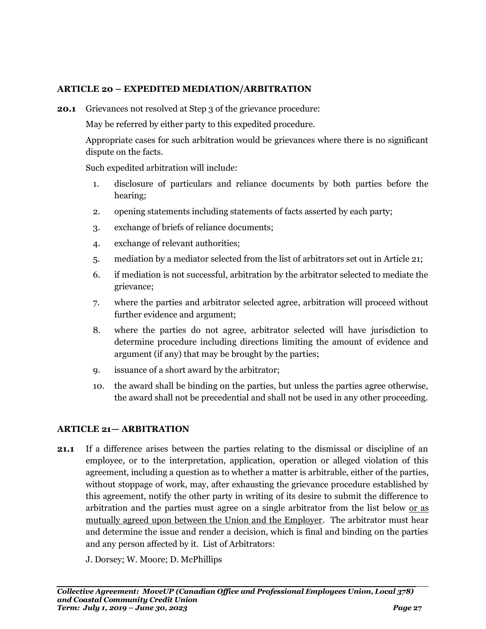### <span id="page-28-0"></span>**ARTICLE 20 – EXPEDITED MEDIATION/ARBITRATION**

**20.1** Grievances not resolved at Step 3 of the grievance procedure:

May be referred by either party to this expedited procedure.

Appropriate cases for such arbitration would be grievances where there is no significant dispute on the facts.

Such expedited arbitration will include:

- 1. disclosure of particulars and reliance documents by both parties before the hearing;
- 2. opening statements including statements of facts asserted by each party;
- 3. exchange of briefs of reliance documents;
- 4. exchange of relevant authorities;
- 5. mediation by a mediator selected from the list of arbitrators set out in Article 21;
- 6. if mediation is not successful, arbitration by the arbitrator selected to mediate the grievance;
- 7. where the parties and arbitrator selected agree, arbitration will proceed without further evidence and argument;
- 8. where the parties do not agree, arbitrator selected will have jurisdiction to determine procedure including directions limiting the amount of evidence and argument (if any) that may be brought by the parties;
- 9. issuance of a short award by the arbitrator;
- 10. the award shall be binding on the parties, but unless the parties agree otherwise, the award shall not be precedential and shall not be used in any other proceeding.

### <span id="page-28-1"></span>**ARTICLE 21— ARBITRATION**

**21.1** If a difference arises between the parties relating to the dismissal or discipline of an employee, or to the interpretation, application, operation or alleged violation of this agreement, including a question as to whether a matter is arbitrable, either of the parties, without stoppage of work, may, after exhausting the grievance procedure established by this agreement, notify the other party in writing of its desire to submit the difference to arbitration and the parties must agree on a single arbitrator from the list below or as mutually agreed upon between the Union and the Employer. The arbitrator must hear and determine the issue and render a decision, which is final and binding on the parties and any person affected by it. List of Arbitrators:

J. Dorsey; W. Moore; D. McPhillips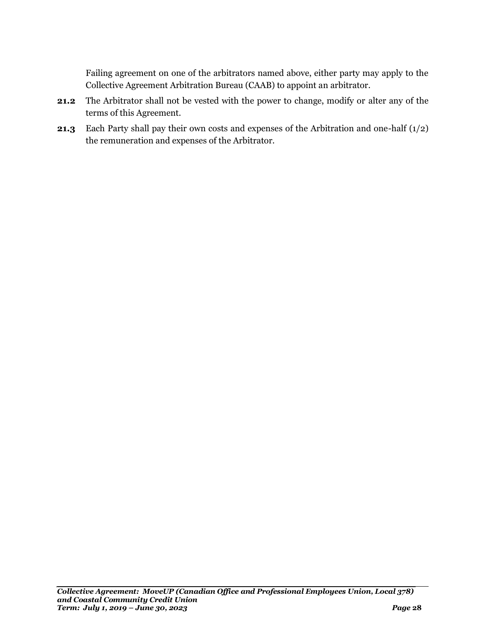Failing agreement on one of the arbitrators named above, either party may apply to the Collective Agreement Arbitration Bureau (CAAB) to appoint an arbitrator.

- **21.2** The Arbitrator shall not be vested with the power to change, modify or alter any of the terms of this Agreement.
- **21.3** Each Party shall pay their own costs and expenses of the Arbitration and one-half (1/2) the remuneration and expenses of the Arbitrator.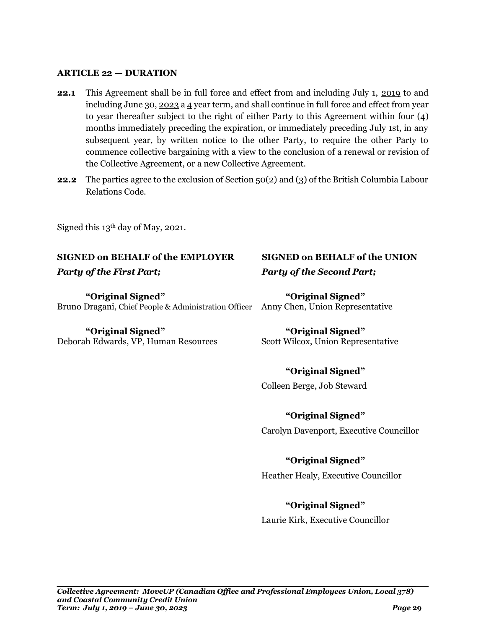### <span id="page-30-0"></span>**ARTICLE 22 — DURATION**

- **22.1** This Agreement shall be in full force and effect from and including July 1, 2019 to and including June 30, 2023 a 4 year term, and shall continue in full force and effect from year to year thereafter subject to the right of either Party to this Agreement within four (4) months immediately preceding the expiration, or immediately preceding July 1st, in any subsequent year, by written notice to the other Party, to require the other Party to commence collective bargaining with a view to the conclusion of a renewal or revision of the Collective Agreement, or a new Collective Agreement.
- **22.2** The parties agree to the exclusion of Section 50(2) and (3) of the British Columbia Labour Relations Code.

Signed this 13th day of May, 2021.

### **SIGNED on BEHALF of the EMPLOYER SIGNED on BEHALF of the UNION**

**"Original Signed" "Original Signed"** Bruno Dragani, Chief People & Administration Officer Anny Chen, Union Representative

**"Original Signed" "Original Signed"** Deborah Edwards, VP, Human Resources Scott Wilcox, Union Representative

# *Party of the First Part; Party of the Second Part;*

### **"Original Signed"**

Colleen Berge, Job Steward

**"Original Signed"**

### Carolyn Davenport, Executive Councillor

### **"Original Signed"**

Heather Healy, Executive Councillor

### **"Original Signed"**

Laurie Kirk, Executive Councillor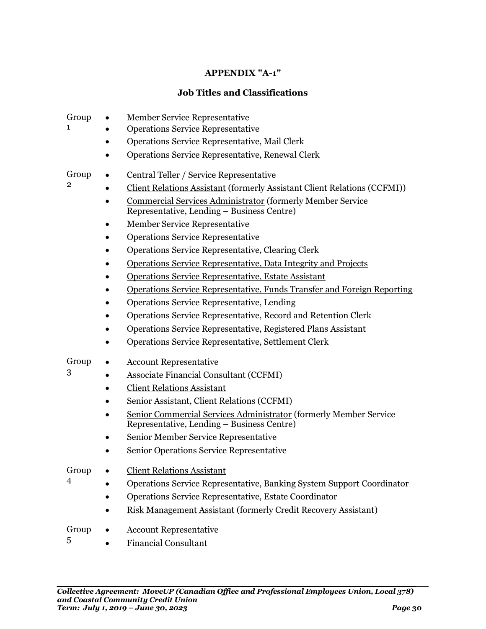### **APPENDIX "A-1"**

### **Job Titles and Classifications**

<span id="page-31-1"></span><span id="page-31-0"></span>

| Group | Member Service Representative                                                                                   |
|-------|-----------------------------------------------------------------------------------------------------------------|
| 1     | <b>Operations Service Representative</b>                                                                        |
|       | Operations Service Representative, Mail Clerk                                                                   |
|       | Operations Service Representative, Renewal Clerk                                                                |
| Group | Central Teller / Service Representative                                                                         |
| 2     | Client Relations Assistant (formerly Assistant Client Relations (CCFMI))                                        |
|       | Commercial Services Administrator (formerly Member Service<br>Representative, Lending – Business Centre)        |
|       | <b>Member Service Representative</b>                                                                            |
|       | <b>Operations Service Representative</b>                                                                        |
|       | Operations Service Representative, Clearing Clerk                                                               |
|       | Operations Service Representative, Data Integrity and Projects                                                  |
|       | Operations Service Representative, Estate Assistant                                                             |
|       | Operations Service Representative, Funds Transfer and Foreign Reporting                                         |
|       | Operations Service Representative, Lending                                                                      |
|       | Operations Service Representative, Record and Retention Clerk                                                   |
|       | Operations Service Representative, Registered Plans Assistant                                                   |
|       | Operations Service Representative, Settlement Clerk                                                             |
| Group | <b>Account Representative</b>                                                                                   |
| 3     | <b>Associate Financial Consultant (CCFMI)</b>                                                                   |
|       | <b>Client Relations Assistant</b>                                                                               |
|       | Senior Assistant, Client Relations (CCFMI)                                                                      |
|       | Senior Commercial Services Administrator (formerly Member Service<br>Representative, Lending – Business Centre) |
|       | Senior Member Service Representative                                                                            |
|       | Senior Operations Service Representative                                                                        |
| Group | <b>Client Relations Assistant</b>                                                                               |
| 4     | Operations Service Representative, Banking System Support Coordinator                                           |
|       | Operations Service Representative, Estate Coordinator                                                           |
|       | Risk Management Assistant (formerly Credit Recovery Assistant)                                                  |
| Group | <b>Account Representative</b><br>$\bullet$                                                                      |

Financial Consultant

5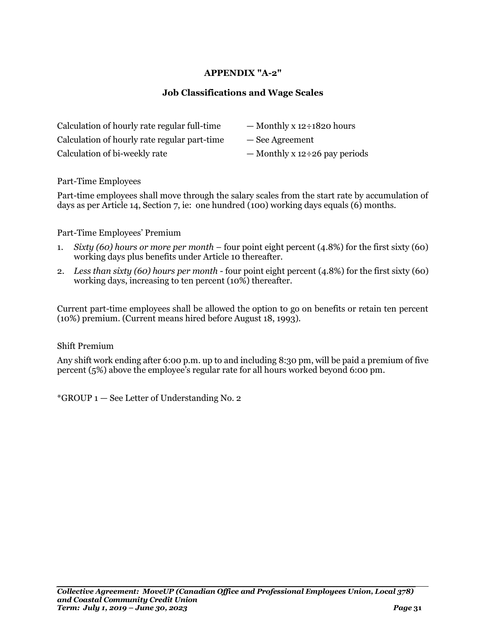### **APPENDIX "A-2"**

### **Job Classifications and Wage Scales**

<span id="page-32-1"></span><span id="page-32-0"></span>

| Calculation of hourly rate regular full-time | $-$ Monthly x 12÷1820 hours          |
|----------------------------------------------|--------------------------------------|
| Calculation of hourly rate regular part-time | - See Agreement                      |
| Calculation of bi-weekly rate                | — Monthly x $12 \div 26$ pay periods |

Part-Time Employees

Part-time employees shall move through the salary scales from the start rate by accumulation of days as per Article 14, Section 7, ie: one hundred (100) working days equals (6) months.

#### Part-Time Employees' Premium

- 1. *Sixty (60) hours or more per month* four point eight percent (4.8%) for the first sixty (60) working days plus benefits under Article 10 thereafter.
- 2. *Less than sixty (60) hours per month* four point eight percent (4.8%) for the first sixty (60) working days, increasing to ten percent (10%) thereafter.

Current part-time employees shall be allowed the option to go on benefits or retain ten percent (10%) premium. (Current means hired before August 18, 1993).

#### Shift Premium

Any shift work ending after 6:00 p.m. up to and including 8:30 pm, will be paid a premium of five percent (5%) above the employee's regular rate for all hours worked beyond 6:00 pm.

\*GROUP 1 — See Letter of Understanding No. 2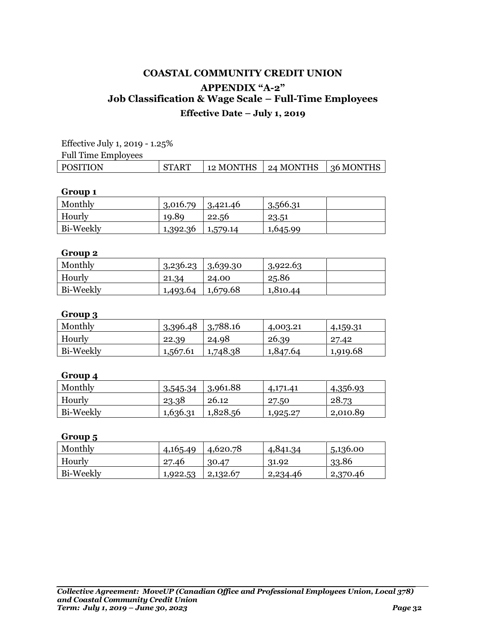### **COASTAL COMMUNITY CREDIT UNION APPENDIX "A-2" Job Classification & Wage Scale – Full-Time Employees Effective Date – July 1, 2019**

Effective July 1, 2019 - 1.25%

| <b>Full Time Employees</b> |  |
|----------------------------|--|
|----------------------------|--|

| POSITION | <b>START</b> |  | 12 MONTHS   24 MONTHS   36 MONTHS |  |  |
|----------|--------------|--|-----------------------------------|--|--|
|          |              |  |                                   |  |  |

### **Group 1**

| Monthly   | 3,016.79 | 3,421.46 | 3,566.31 |  |
|-----------|----------|----------|----------|--|
| Hourly    | 19.89    | 22.56    | 23.51    |  |
| Bi-Weekly | 1,392.36 | 1,579.14 | 1,645.99 |  |

### **Group 2**

| Monthly   | $3,236.23$   $3,639.30$ |          | 3,922.63 |  |
|-----------|-------------------------|----------|----------|--|
| Hourly    | 21.34                   | 24.00    | 25.86    |  |
| Bi-Weekly | 1,493.64                | 1,679.68 | 1,810.44 |  |

### **Group 3**

| Monthly   | 3,396.48 | 3,788.16 | 4,003.21 | 4,159.31 |
|-----------|----------|----------|----------|----------|
| Hourly    | 22.39    | 24.98    | 26.39    | 27.42    |
| Bi-Weekly | 1,567.61 | 1,748.38 | 1,847.64 | 1,919.68 |

### **Group 4**

| Monthly   | $\mid$ 3,545.34   3,961.88 |          | 4,171.41 | 4,356.93 |
|-----------|----------------------------|----------|----------|----------|
| Hourly    | 23.38                      | 26.12    | 27.50    | 28.73    |
| Bi-Weekly | 1,636.31                   | 1,828.56 | 1,925.27 | 2,010.89 |

| Monthly   | 4, 165.49 | 4,620.78 | 4,841.34 | 5,136.00 |
|-----------|-----------|----------|----------|----------|
| Hourly    | 27.46     | 30.47    | 31.92    | 33.86    |
| Bi-Weekly | 1,922.53  | 2,132.67 | 2,234.46 | 2,370.46 |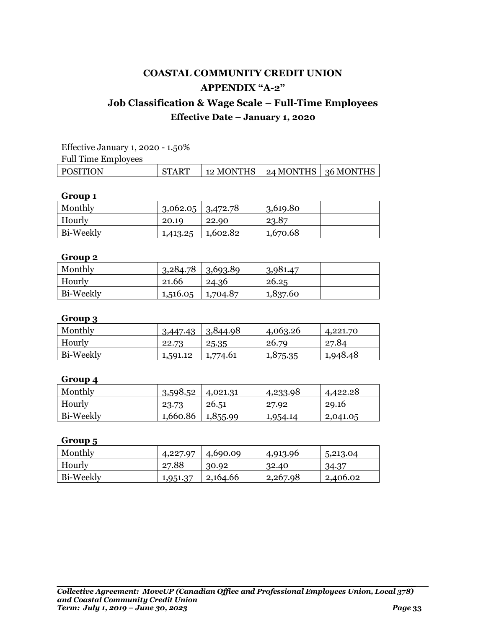## **Job Classification & Wage Scale – Full-Time Employees Effective Date – January 1, 2020**

| Effective January 1, 2020 - 1.50% |              |                                   |  |  |  |
|-----------------------------------|--------------|-----------------------------------|--|--|--|
| <b>Full Time Employees</b>        |              |                                   |  |  |  |
| POSITION                          | <b>START</b> | 12 MONTHS   24 MONTHS   36 MONTHS |  |  |  |

### **Group 1**

| Monthly   | $3,062.05$   $3,472.78$ |          | 3,619.80 |  |
|-----------|-------------------------|----------|----------|--|
| Hourly    | 20.19                   | 22.90    | 23.87    |  |
| Bi-Weekly | 1,413.25                | 1,602.82 | 1,670.68 |  |

### **Group 2**

| Monthly   | $3,284.78$ 3.693.89 |          | 3,981.47 |  |
|-----------|---------------------|----------|----------|--|
| Hourly    | 21.66               | 24.36    | 26.25    |  |
| Bi-Weekly | 1,516.05            | 1,704.87 | 1,837.60 |  |

### **Group 3**

| Monthly   | 3,447.43 | 3,844.98 | 4,063.26 | 4,221.70 |
|-----------|----------|----------|----------|----------|
| Hourly    | 22.73    | 25.35    | 26.79    | 27.84    |
| Bi-Weekly | 1,591.12 | 1,774.61 | 1,875.35 | 1,948.48 |

### **Group 4**

| Monthly   | 3,598.52 | 4,021.31 | 4,233.98 | 4,422.28 |
|-----------|----------|----------|----------|----------|
| Hourly    | 23.73    | 26.51    | 27.92    | 29.16    |
| Bi-Weekly | 1,660.86 | 1,855.99 | 1,954.14 | 2,041.05 |

| Monthly   | 4,227.97 | 4,690.09 | 4,913.96 | 5,213.04 |
|-----------|----------|----------|----------|----------|
| Hourly    | 27.88    | 30.92    | 32.40    | 34.37    |
| Bi-Weekly | 1,951.37 | 2,164.66 | 2,267.98 | 2,406.02 |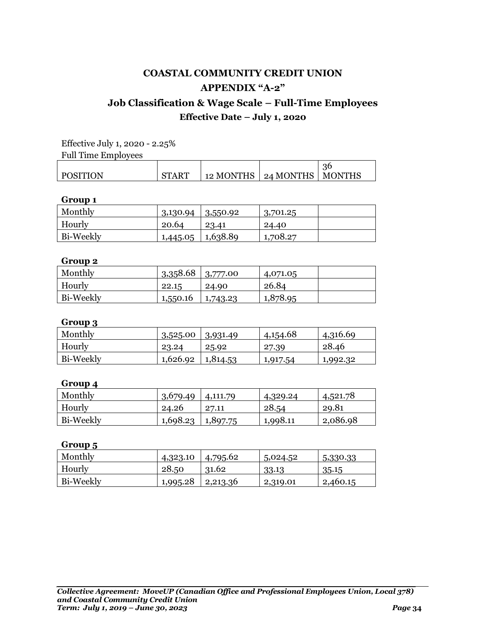## **Job Classification & Wage Scale – Full-Time Employees Effective Date – July 1, 2020**

Effective July 1, 2020 - 2.25%

Full Time Employees

|          |               |                                   | 36            |
|----------|---------------|-----------------------------------|---------------|
| POSITION | $\gamma$ TART | 12 MONTHS $\mid$ 24 MONTHS $\mid$ | <b>MONTHS</b> |

#### **Group 1**

| Monthly   | 3,130.94 | 3,550.92 | 3,701.25 |  |
|-----------|----------|----------|----------|--|
| Hourly    | 20.64    | 23.41    | 24.40    |  |
| Bi-Weekly | 1,445.05 | 1,638.89 | 1,708.27 |  |

### **Group 2**

| Monthly   | $3,358.68$   $3,777.00$ |          | 4,071.05 |  |
|-----------|-------------------------|----------|----------|--|
| Hourly    | 22.15                   | 24.90    | 26.84    |  |
| Bi-Weekly | 1,550.16                | 1,743.23 | 1,878.95 |  |

### **Group 3**

| . .       |          |          |          |          |
|-----------|----------|----------|----------|----------|
| Monthly   | 3,525.00 | 3,931.49 | 4,154.68 | 4,316.69 |
| Hourly    | 23.24    | 25.92    | 27.39    | 28.46    |
| Bi-Weekly | 1,626.92 | 1,814.53 | 1,917.54 | 1,992.32 |

### **Group 4**

| Monthly   | 3,679.49 | 4,111.79 | 4,329.24 | 4,521.78 |
|-----------|----------|----------|----------|----------|
| Hourly    | 24.26    | 27.11    | 28.54    | 29.81    |
| Bi-Weekly | 1,698.23 | 1,897.75 | 1,998.11 | 2,086.98 |

| Monthly   | 4,323.10 | 4,795.62 | 5,024.52 | 5,330.33 |
|-----------|----------|----------|----------|----------|
| Hourly    | 28.50    | 31.62    | 33.13    | 35.15    |
| Bi-Weekly | 1,995.28 | 2,213.36 | 2,319.01 | 2,460.15 |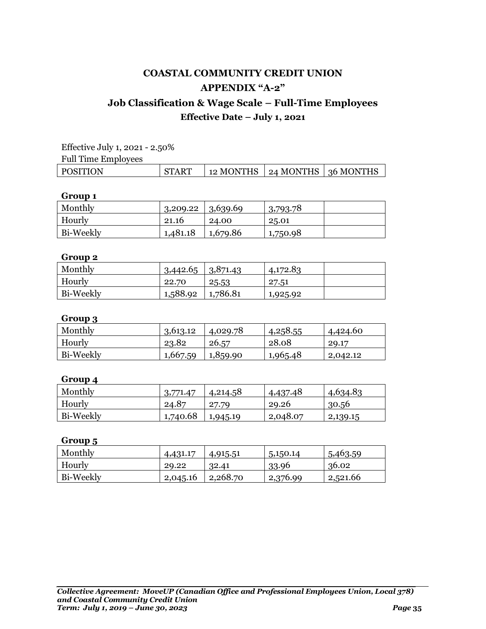## **Job Classification & Wage Scale – Full-Time Employees Effective Date – July 1, 2021**

| Effective July 1, 2021 - 2.50% |              |                                   |  |  |  |
|--------------------------------|--------------|-----------------------------------|--|--|--|
| Full Time Employees            |              |                                   |  |  |  |
| POSITION                       | <b>START</b> | 12 MONTHS   24 MONTHS   36 MONTHS |  |  |  |

### **Group 1**

| Monthly          | 3,209.22 | 3,639.69 | 3,793.78 |  |
|------------------|----------|----------|----------|--|
| Hourly           | 21.16    | 24.00    | 25.01    |  |
| <b>Bi-Weekly</b> | 1,481.18 | 1,679.86 | 1,750.98 |  |

### **Group 2**

| Monthly   | $3,442.65$ 3.871.43 |          | 4,172.83 |  |
|-----------|---------------------|----------|----------|--|
| Hourly    | 22.70               | 25.53    | 27.51    |  |
| Bi-Weekly | 1,588.92            | 1,786.81 | 1,925.92 |  |

### **Group 3**

| Monthly   | 3,613.12 | 4,029.78 | 4,258.55 | 4,424.60 |
|-----------|----------|----------|----------|----------|
| Hourly    | 23.82    | 26.57    | 28.08    | 29.17    |
| Bi-Weekly | 1,667.59 | 1,859.90 | 1,965.48 | 2,042.12 |

### **Group 4**

| Monthly   | 3,771.47 | 4,214.58 | 4,437.48 | 4,634.83 |
|-----------|----------|----------|----------|----------|
| Hourly    | 24.87    | 27.79    | 29.26    | 30.56    |
| Bi-Weekly | 1,740.68 | 1,945.19 | 2,048.07 | 2,139.15 |

| Monthly   | 4,431.17 | 4,915.51 | 5,150.14 | 5,463.59 |
|-----------|----------|----------|----------|----------|
| Hourly    | 29.22    | 32.41    | 33.96    | 36.02    |
| Bi-Weekly | 2,045.16 | 2,268.70 | 2,376.99 | 2,521.66 |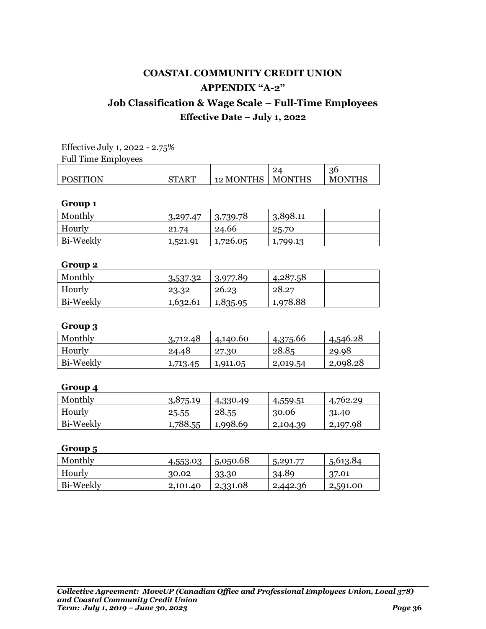## **Job Classification & Wage Scale – Full-Time Employees Effective Date – July 1, 2022**

Effective July 1, 2022 - 2.75% Full Time Employees

|                 |              |           | 4             | 3¢                        |
|-----------------|--------------|-----------|---------------|---------------------------|
| <b>POSITION</b> | <b>START</b> | 12 MONTHS | <b>MONTHS</b> | <b>MONTH</b> <sup>c</sup> |

### **Group 1**

| Monthly   | 3,297.47 | 3,739.78 | 3,898.11 |  |
|-----------|----------|----------|----------|--|
| Hourly    | 21.74    | 24.66    | 25.70    |  |
| Bi-Weekly | 1,521.91 | 1,726.05 | 1,799.13 |  |

### **Group 2**

| Monthly   | 3,537.32 | 3,977.89 | 4,287.58 |  |
|-----------|----------|----------|----------|--|
| Hourly    | 23.32    | 26.23    | 28.27    |  |
| Bi-Weekly | 1,632.61 | 1,835.95 | 1,978.88 |  |

### **Group 3**

| Monthly   | 3,712.48 | 4,140.60 | 4,375.66 | 4,546.28 |
|-----------|----------|----------|----------|----------|
| Hourly    | 24.48    | 27.30    | 28.85    | 29.98    |
| Bi-Weekly | 1,713.45 | 1,911.05 | 2,019.54 | 2,098.28 |

### **Group 4**

| Monthly   | 3,875.19 | 4,330.49 | 4,559.51 | 4,762.29 |
|-----------|----------|----------|----------|----------|
| Hourly    | 25.55    | 28.55    | 30.06    | 31.40    |
| Bi-Weekly | 1,788.55 | 1,998.69 | 2,104.39 | 2,197.98 |

| Monthly   | 4,553.03 | 1,50,50.68 | 5,291.77 | 5,613.84 |
|-----------|----------|------------|----------|----------|
| Hourly    | 30.02    | 33.30      | 34.89    | 37.01    |
| Bi-Weekly | 2,101.40 | 2,331.08   | 2,442.36 | 2,591.00 |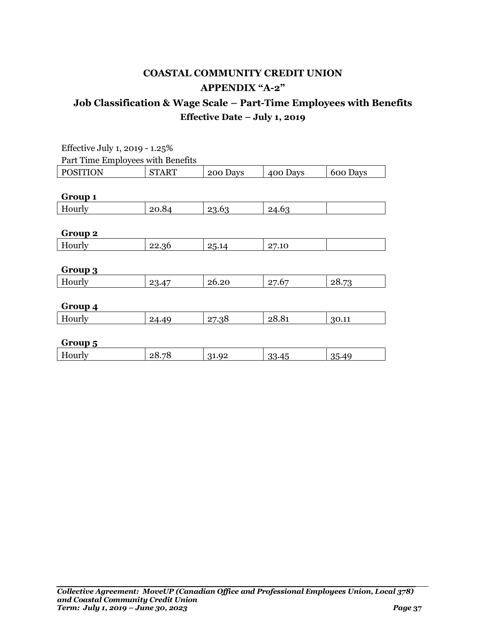| Effective July 1, 2019 - 1.25% |                                   |          |          |          |  |  |  |
|--------------------------------|-----------------------------------|----------|----------|----------|--|--|--|
|                                | Part Time Employees with Benefits |          |          |          |  |  |  |
| <b>POSITION</b>                | <b>START</b>                      | 200 Days | 400 Days | 600 Days |  |  |  |
|                                |                                   |          |          |          |  |  |  |
| Group 1                        |                                   |          |          |          |  |  |  |
| Hourly                         | 20.84                             | 23.63    | 24.63    |          |  |  |  |
|                                |                                   |          |          |          |  |  |  |
| Group 2                        |                                   |          |          |          |  |  |  |
| Hourly                         | 22.36                             | 25.14    | 27.10    |          |  |  |  |
|                                |                                   |          |          |          |  |  |  |
| Group 3                        |                                   |          |          |          |  |  |  |
| Hourly                         | 23.47                             | 26.20    | 27.67    | 28.73    |  |  |  |
|                                |                                   |          |          |          |  |  |  |
| Group 4                        |                                   |          |          |          |  |  |  |
| Hourly                         | 24.49                             | 27.38    | 28.81    | 30.11    |  |  |  |
|                                |                                   |          |          |          |  |  |  |
| Group 5                        |                                   |          |          |          |  |  |  |
| Hourly                         | 28.78                             | 31.92    | 33.45    | 35.49    |  |  |  |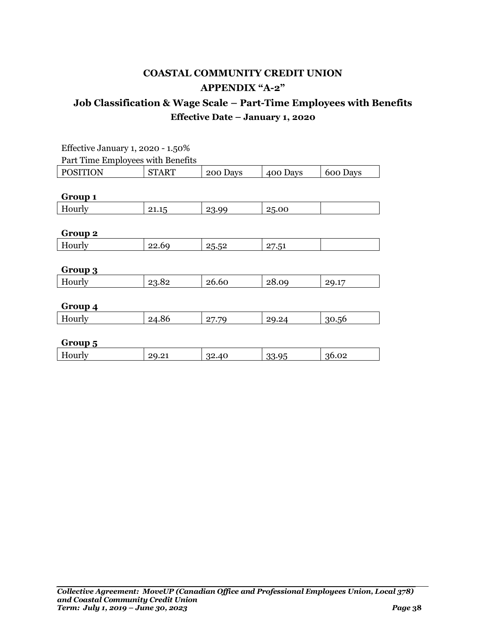| Effective January 1, 2020 - 1.50% |              |          |          |          |  |  |
|-----------------------------------|--------------|----------|----------|----------|--|--|
| Part Time Employees with Benefits |              |          |          |          |  |  |
| <b>POSITION</b>                   | <b>START</b> | 200 Days | 400 Days | 600 Days |  |  |
|                                   |              |          |          |          |  |  |
| Group 1                           |              |          |          |          |  |  |
| Hourly                            | 21.15        | 23.99    | 25.00    |          |  |  |
|                                   |              |          |          |          |  |  |
| Group 2                           |              |          |          |          |  |  |
| Hourly                            | 22.69        | 25.52    | 27.51    |          |  |  |
|                                   |              |          |          |          |  |  |
| Group 3                           |              |          |          |          |  |  |
| Hourly                            | 23.82        | 26.60    | 28.09    | 29.17    |  |  |
|                                   |              |          |          |          |  |  |
| Group 4                           |              |          |          |          |  |  |
| Hourly                            | 24.86        | 27.79    | 29.24    | 30.56    |  |  |
|                                   |              |          |          |          |  |  |
| Group 5                           |              |          |          |          |  |  |
| Hourly                            | 29.21        | 32.40    | 33.95    | 36.02    |  |  |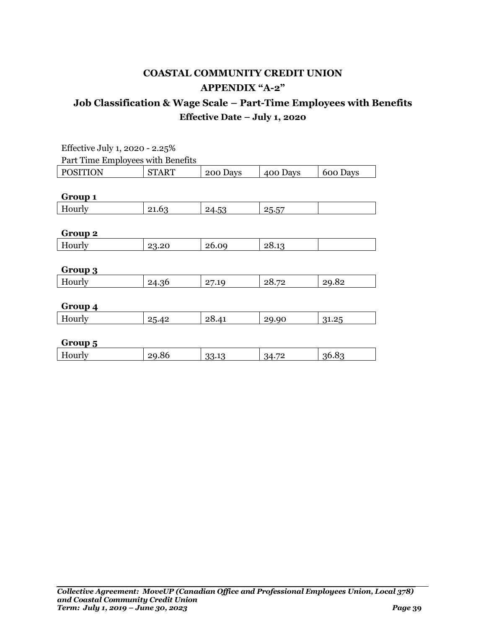| Effective July 1, 2020 - 2.25%    |              |          |          |          |  |  |
|-----------------------------------|--------------|----------|----------|----------|--|--|
| Part Time Employees with Benefits |              |          |          |          |  |  |
| <b>POSITION</b>                   | <b>START</b> | 200 Days | 400 Days | 600 Days |  |  |
|                                   |              |          |          |          |  |  |
| Group 1                           |              |          |          |          |  |  |
| Hourly                            | 21.63        | 24.53    | 25.57    |          |  |  |
|                                   |              |          |          |          |  |  |
| Group 2                           |              |          |          |          |  |  |
| Hourly                            | 23.20        | 26.09    | 28.13    |          |  |  |
|                                   |              |          |          |          |  |  |
| Group 3                           |              |          |          |          |  |  |
| Hourly                            | 24.36        | 27.19    | 28.72    | 29.82    |  |  |
|                                   |              |          |          |          |  |  |
| Group 4                           |              |          |          |          |  |  |
| Hourly                            | 25.42        | 28.41    | 29.90    | 31.25    |  |  |
|                                   |              |          |          |          |  |  |
| Group 5                           |              |          |          |          |  |  |
| Hourly                            | 29.86        | 33.13    | 34.72    | 36.83    |  |  |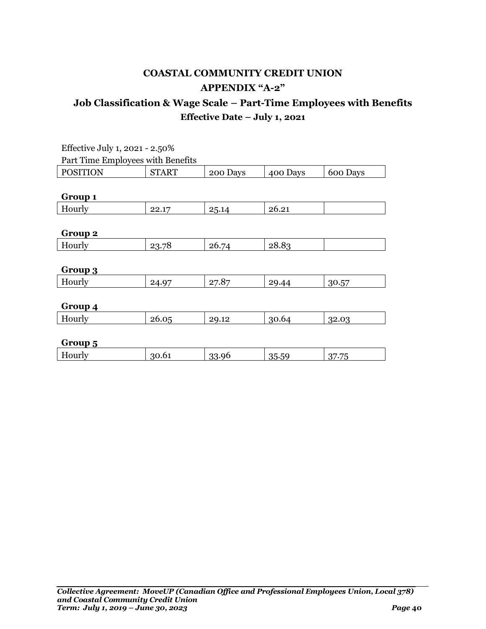| Effective July 1, 2021 - 2.50%    |              |          |          |          |  |  |
|-----------------------------------|--------------|----------|----------|----------|--|--|
| Part Time Employees with Benefits |              |          |          |          |  |  |
| <b>POSITION</b>                   | <b>START</b> | 200 Days | 400 Days | 600 Days |  |  |
|                                   |              |          |          |          |  |  |
| Group 1                           |              |          |          |          |  |  |
| Hourly                            | 22.17        | 25.14    | 26.21    |          |  |  |
|                                   |              |          |          |          |  |  |
| Group 2                           |              |          |          |          |  |  |
| Hourly                            | 23.78        | 26.74    | 28.83    |          |  |  |
|                                   |              |          |          |          |  |  |
| Group 3                           |              |          |          |          |  |  |
| Hourly                            | 24.97        | 27.87    | 29.44    | 30.57    |  |  |
|                                   |              |          |          |          |  |  |
| Group 4                           |              |          |          |          |  |  |
| Hourly                            | 26.05        | 29.12    | 30.64    | 32.03    |  |  |
|                                   |              |          |          |          |  |  |
| Group 5                           |              |          |          |          |  |  |
| Hourly                            | 30.61        | 33.96    | 35.59    | 37.75    |  |  |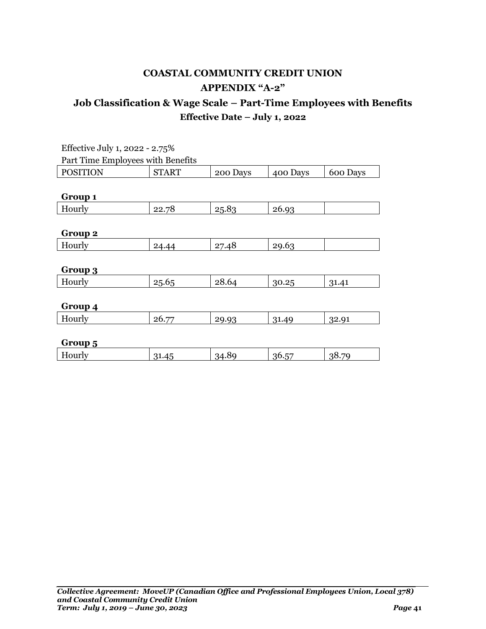| Effective July 1, 2022 - 2.75%    |              |          |          |          |
|-----------------------------------|--------------|----------|----------|----------|
| Part Time Employees with Benefits |              |          |          |          |
| <b>POSITION</b>                   | <b>START</b> | 200 Days | 400 Days | 600 Days |
|                                   |              |          |          |          |
| Group 1                           |              |          |          |          |
| Hourly                            | 22.78        | 25.83    | 26.93    |          |
|                                   |              |          |          |          |
| Group 2                           |              |          |          |          |
| Hourly                            | 24.44        | 27.48    | 29.63    |          |
|                                   |              |          |          |          |
| Group 3                           |              |          |          |          |
| Hourly                            | 25.65        | 28.64    | 30.25    | 31.41    |
|                                   |              |          |          |          |
| Group 4                           |              |          |          |          |
| Hourly                            | 26.77        | 29.93    | 31.49    | 32.91    |
|                                   |              |          |          |          |
| Group 5                           |              |          |          |          |
| Hourly                            | 31.45        | 34.89    | 36.57    | 38.79    |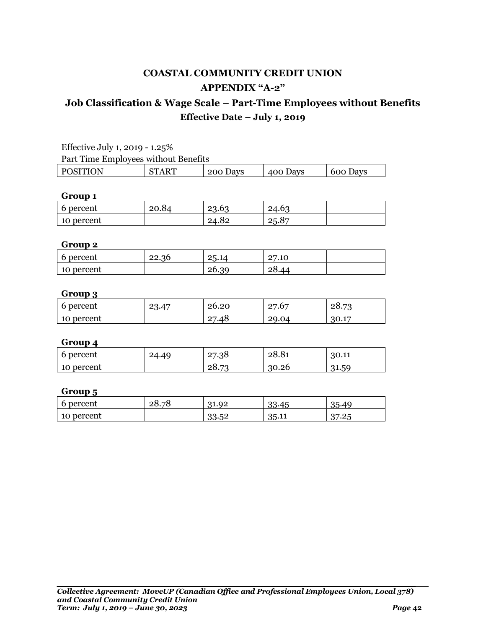### **Job Classification & Wage Scale – Part-Time Employees without Benefits Effective Date – July 1, 2019**

| Effective July 1, 2019 - $1.25\%$    |         |          |          |          |
|--------------------------------------|---------|----------|----------|----------|
| Part Time Employees without Benefits |         |          |          |          |
| POSITION                             | - START | 200 Days | 400 Days | 600 Days |

### **Group 1**

| 6 percent  | 20.04 | ററ<br>hη<br>י.∪… | hr<br>44.V |  |
|------------|-------|------------------|------------|--|
| 10 percent |       | 24.82<br>94      | 25.87      |  |

### **Group 2**

| 6 percent  | 22.36 | 25.14 | 7.10<br><u>_</u> |  |
|------------|-------|-------|------------------|--|
| 10 percent |       | 26.39 | າ×<br>40.44      |  |

### **Group 3**

| . .        |           |                         |                                         |                                  |
|------------|-----------|-------------------------|-----------------------------------------|----------------------------------|
| 6 percent  | $\Lambda$ | <u>ንስ</u><br>∠∪.∠∪      | $\Omega$<br>$\sim$<br>ี∙∙<br>$\epsilon$ | $\overline{r}$<br>ـ∪۰            |
| 10 percent |           | ∩⊓<br>1 S<br>40. /<br>- | '9.04<br>-                              | $\overline{\phantom{a}}$<br>17.T |

### **Group 4**

| 6 percent  | 24.40 | 27.38                           | 28.81 | 30.11 |
|------------|-------|---------------------------------|-------|-------|
| 10 percent |       | $\overline{\phantom{a}}$<br>28. | 30.26 | 31.59 |

| . .        |              |           |       |                       |
|------------|--------------|-----------|-------|-----------------------|
| 6 percent  | 28.78<br>nv. | 31.92     | 33.45 | 35.4                  |
| 10 percent |              | იი<br>ാറ⊷ | 35.11 | ില<br>∩¬<br>. .<br>.۔ |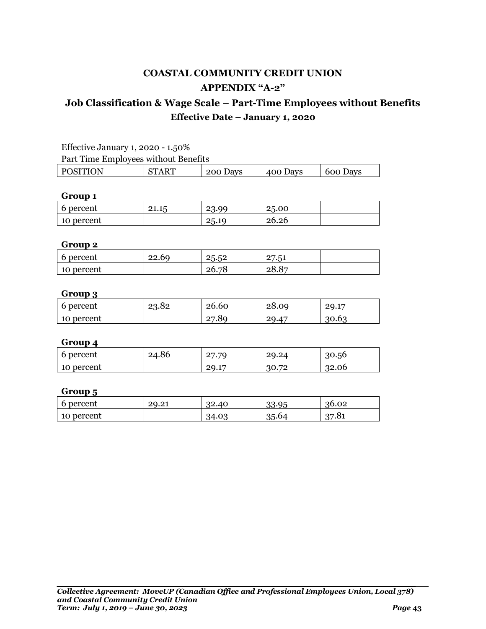### **Job Classification & Wage Scale – Part-Time Employees without Benefits Effective Date – January 1, 2020**

| Effective January 1, 2020 - 1.50%    |              |          |                  |                 |
|--------------------------------------|--------------|----------|------------------|-----------------|
| Part Time Employees without Benefits |              |          |                  |                 |
| <b>POSITION</b>                      | <b>START</b> | 200 Days | $\vert$ 400 Days | $\mid$ 600 Days |

### **Group 1**

| 6 percent  | ←⊥.⊥. | <u>.</u> | 25.00 |  |
|------------|-------|----------|-------|--|
| 10 percent |       | ~∟.∩ ∠   | 26.26 |  |

### **Group 2**

| 6 percent     | 22.69 | - വ<br>クに<br>∽<br>–ວ∙ວ– | - -<br>$\Omega$<br>∽<br>$\cdot \cdot$ ) $\sim$<br>- |  |
|---------------|-------|-------------------------|-----------------------------------------------------|--|
| percent<br>10 |       | ៗ≶<br>ንሱ.<br>∠∪./∪      | $O_{\Box}$<br>28.8                                  |  |

### **Group 3**

| . .        |       |                    |       |                         |
|------------|-------|--------------------|-------|-------------------------|
| 6 percent  | 23.82 | 26.60              | 28.09 | $\overline{1}$<br>29.1' |
| 10 percent |       | .80<br>$\sim$<br>_ | 29.47 | 30.63                   |

### **Group 4**

| 6 percent  | 24.86 | -70<br>∩⊓<br>-         | 49.44             | 30.56 |
|------------|-------|------------------------|-------------------|-------|
| 10 percent |       | $\blacksquare$<br>29.1 | 0 פח<br>. JV<br>. | \2.06 |
|            |       |                        |                   |       |

| . .        |       |             |       |       |
|------------|-------|-------------|-------|-------|
| 6 percent  | 29.21 | าก<br>32.40 | 33.95 | 36.02 |
| 10 percent |       | 34.0.       | 35.64 | 37.81 |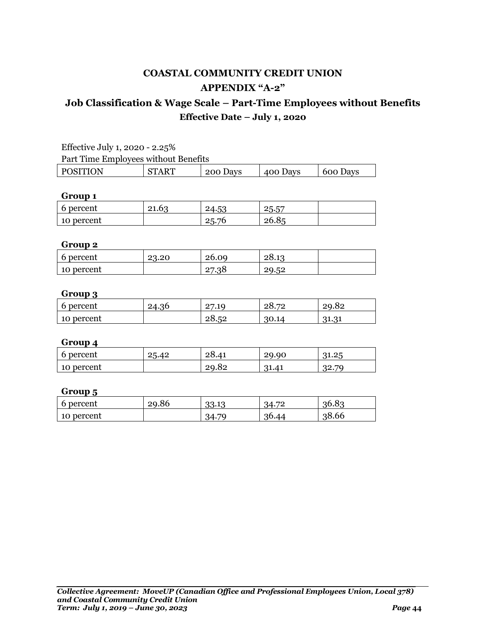### **Job Classification & Wage Scale – Part-Time Employees without Benefits Effective Date – July 1, 2020**

| Effective July 1, 2020 - 2.25%       |              |          |          |          |
|--------------------------------------|--------------|----------|----------|----------|
| Part Time Employees without Benefits |              |          |          |          |
| <b>POSITION</b>                      | <b>START</b> | 200 Days | 400 Days | 600 Days |

### **Group 1**

| 6 percent  | <u>ດາ</u><br>21.63 | 片り<br>∠ი∙⊶ | <u>——</u><br>ク斥<br>$- \cdot \cdot \cdot \cdot$ |  |
|------------|--------------------|------------|------------------------------------------------|--|
| 10 percent |                    | 25.76      | ባል<br>20.05                                    |  |

### **Group 2**

| 6 percent  | 23.20 | 26.09 | $-28.1$ |  |
|------------|-------|-------|---------|--|
| 10 percent |       | 2/30  | 29.52   |  |

### **Group 3**

| . .           |       |                       |                                   |                 |
|---------------|-------|-----------------------|-----------------------------------|-----------------|
| 6 percent     | 24.36 | $\Omega$<br>7.10<br>- | $\overline{\phantom{a}}$<br>∠∪• ∕ | 29.02           |
| percent<br>10 |       | 28.52                 | 30.14                             | 01<br>, 1., , 1 |

### **Group 4**

| 6 percent  | 25.<br>ـ 42.م. | 28.41 | 29.90 | 25<br>21<br>า⊥.∠∴                       |
|------------|----------------|-------|-------|-----------------------------------------|
| 10 percent |                | 29.82 | 41،در | $\overline{\mathcal{L}}$<br>າດ<br>⁄ ⊶ڪر |

| . .        |       |                  |             |       |
|------------|-------|------------------|-------------|-------|
| 6 percent  | 29.86 | 10<br>າາ<br>აა⊶ა | H<br>34.7   | 36.83 |
| 10 percent |       | 70<br>:4         | 96<br>30.44 | 38.66 |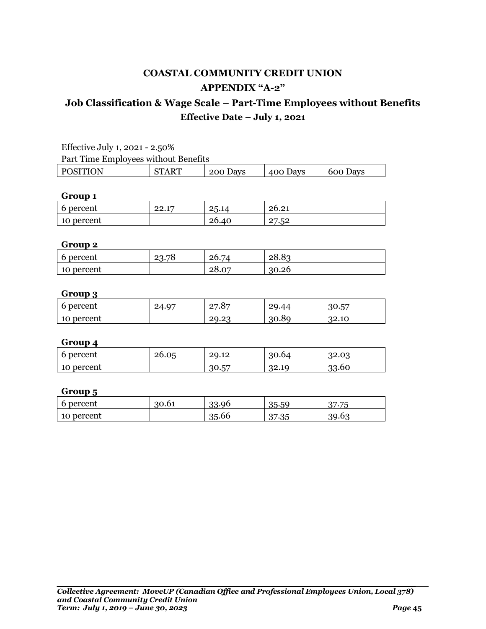### **Job Classification & Wage Scale – Part-Time Employees without Benefits Effective Date – July 1, 2021**

| Effective July 1, 2021 - 2.50%                                        |  |  |  |  |  |
|-----------------------------------------------------------------------|--|--|--|--|--|
| Part Time Employees without Benefits                                  |  |  |  |  |  |
| <b>START</b><br><b>POSITION</b><br>200 Days<br>600 Days<br>  400 Days |  |  |  |  |  |

### **Group 1**

| 6 percent  | ററ<br>1 m<br><u>__.</u> | りに<br>$\dots$ , $\overline{1}$ | $\Omega$ 1<br>ባል<br>20.21 |  |
|------------|-------------------------|--------------------------------|---------------------------|--|
| 10 percent |                         | ባል<br>26.40                    | $\Gamma$<br>.             |  |

### **Group 2**

| 6 percent  | 23.78 | 26.74               | 28.85 |  |
|------------|-------|---------------------|-------|--|
| 10 percent |       | ΩÛ<br>$\sim$<br>∠∪. | 30.26 |  |

### **Group 3**

| . .        |       |                                                 |             |             |
|------------|-------|-------------------------------------------------|-------------|-------------|
| 6 percent  | 24.97 | ⁄ 8−<br>$\Omega$<br>$\cdot$ $\circ$<br><u>_</u> | റ്റ<br>. 44 | 57<br>30.5  |
| 10 percent |       | റ<br>29.2                                       | 30.89       | າາ<br>34.IU |

### **Group 4**

| 6 percent  | 26.05 | 29.12      | 30.64 | ഹ<br>32.0 |
|------------|-------|------------|-------|-----------|
| 10 percent |       | 57<br>30.5 | 32.19 | 33.60     |

| percent<br>b | 30.61 | 33.96 | $\Gamma$<br>$\sim$ $\blacksquare$<br>35.5<br>.nl | $\overline{\phantom{m}}$<br>יה |
|--------------|-------|-------|--------------------------------------------------|--------------------------------|
| 10 percent   |       | 35.66 | ∩−<br>∴∙ບບ                                       | $\cdots$<br>39.0               |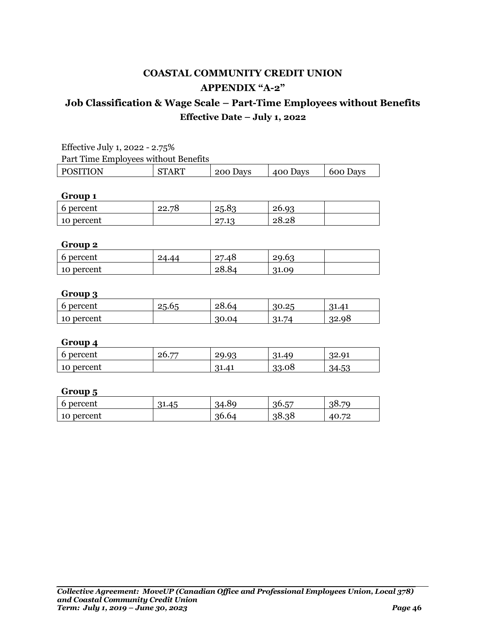### **Job Classification & Wage Scale – Part-Time Employees without Benefits Effective Date – July 1, 2022**

| Effective July 1, 2022 - 2.75%                                              |  |  |  |  |  |
|-----------------------------------------------------------------------------|--|--|--|--|--|
| Part Time Employees without Benefits                                        |  |  |  |  |  |
| <b>START</b><br><b>POSITION</b><br>200 Days<br>400 Days<br>$\vert$ 600 Days |  |  |  |  |  |

### **Group 1**

| 6 percent  | nn<br>⋻<br>◡<br>، . ـ | 25.8.                | $26.9^\circ$ |  |
|------------|-----------------------|----------------------|--------------|--|
| 10 percent |                       | ∩⊓<br>10<br><u>_</u> | 28.28        |  |

### **Group 2**

| 6 percent  | $\sqrt{ }$<br>4.44 | $\Omega$<br>40.'<br>- | ΩΩ<br>Lc |  |
|------------|--------------------|-----------------------|----------|--|
| 10 percent |                    | 20.04                 | 31.09    |  |

### **Group 3**

| . .        |       |             |               |       |
|------------|-------|-------------|---------------|-------|
| 6 percent  | 25.65 | 28.64       | 30.25<br>20   | 31.41 |
| 10 percent |       | 30.04<br>97 | 74<br>$1 - 1$ | 32.98 |

### **Group 4**

| 6 percent  | ——<br>ገራ<br>∠∪. | ഹ<br>zч<br>ີ       | 31.49 | ำ∠.Ч⊥                  |
|------------|-----------------|--------------------|-------|------------------------|
| 10 percent |                 | <u>ດາ</u><br>31.41 | 33.08 | டீ<br>34.<br>∽<br>Γ∙∪∪ |
|            |                 |                    |       |                        |

| . .        |       |       |            |           |
|------------|-------|-------|------------|-----------|
| 6 percent  | 31.45 | 34.89 | 57<br>36.5 | 38.<br>70 |
| 10 percent |       | 36.64 | 38.38      | ு<br>40.  |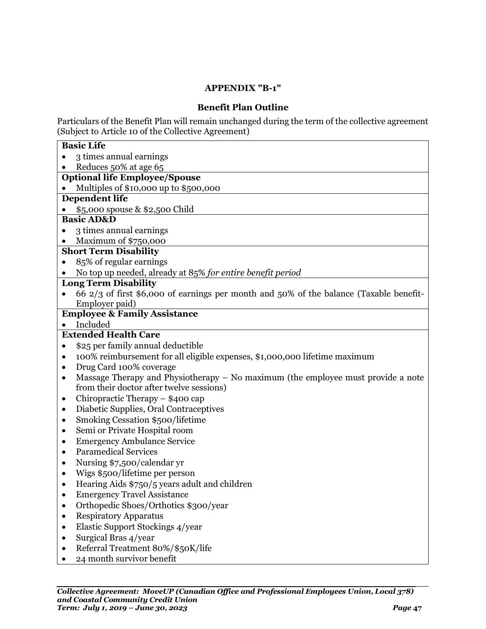### **APPENDIX "B-1"**

### **Benefit Plan Outline**

<span id="page-48-0"></span>Particulars of the Benefit Plan will remain unchanged during the term of the collective agreement (Subject to Article 10 of the Collective Agreement)

| <b>Basic Life</b>                                                                                                                           |  |  |  |  |
|---------------------------------------------------------------------------------------------------------------------------------------------|--|--|--|--|
| 3 times annual earnings                                                                                                                     |  |  |  |  |
| Reduces 50% at age 65                                                                                                                       |  |  |  |  |
| <b>Optional life Employee/Spouse</b>                                                                                                        |  |  |  |  |
| Multiples of \$10,000 up to \$500,000                                                                                                       |  |  |  |  |
| <b>Dependent life</b>                                                                                                                       |  |  |  |  |
| \$5,000 spouse & \$2,500 Child                                                                                                              |  |  |  |  |
| <b>Basic AD&amp;D</b>                                                                                                                       |  |  |  |  |
| 3 times annual earnings                                                                                                                     |  |  |  |  |
| Maximum of \$750,000                                                                                                                        |  |  |  |  |
| <b>Short Term Disability</b>                                                                                                                |  |  |  |  |
| 85% of regular earnings                                                                                                                     |  |  |  |  |
| No top up needed, already at 85% for entire benefit period                                                                                  |  |  |  |  |
| <b>Long Term Disability</b>                                                                                                                 |  |  |  |  |
| 66 2/3 of first \$6,000 of earnings per month and 50% of the balance (Taxable benefit-                                                      |  |  |  |  |
| Employer paid)                                                                                                                              |  |  |  |  |
| <b>Employee &amp; Family Assistance</b>                                                                                                     |  |  |  |  |
| Included<br>$\bullet$<br><b>Extended Health Care</b>                                                                                        |  |  |  |  |
|                                                                                                                                             |  |  |  |  |
| \$25 per family annual deductible<br>$\bullet$                                                                                              |  |  |  |  |
| 100% reimbursement for all eligible expenses, \$1,000,000 lifetime maximum<br>$\bullet$                                                     |  |  |  |  |
| Drug Card 100% coverage<br>$\bullet$                                                                                                        |  |  |  |  |
| Massage Therapy and Physiotherapy $-$ No maximum (the employee must provide a note<br>$\bullet$<br>from their doctor after twelve sessions) |  |  |  |  |
| Chiropractic Therapy - \$400 cap<br>٠                                                                                                       |  |  |  |  |
| Diabetic Supplies, Oral Contraceptives<br>٠                                                                                                 |  |  |  |  |
| Smoking Cessation \$500/lifetime<br>٠                                                                                                       |  |  |  |  |
| Semi or Private Hospital room<br>$\bullet$                                                                                                  |  |  |  |  |
| <b>Emergency Ambulance Service</b><br>$\bullet$                                                                                             |  |  |  |  |
| <b>Paramedical Services</b><br>$\bullet$                                                                                                    |  |  |  |  |
| Nursing \$7,500/calendar yr                                                                                                                 |  |  |  |  |
| Wigs \$500/lifetime per person<br>$\bullet$                                                                                                 |  |  |  |  |
| Hearing Aids \$750/5 years adult and children<br>$\bullet$                                                                                  |  |  |  |  |
| <b>Emergency Travel Assistance</b>                                                                                                          |  |  |  |  |
| Orthopedic Shoes/Orthotics \$300/year                                                                                                       |  |  |  |  |
| <b>Respiratory Apparatus</b>                                                                                                                |  |  |  |  |
| Elastic Support Stockings 4/year                                                                                                            |  |  |  |  |
| Surgical Bras 4/year                                                                                                                        |  |  |  |  |
| Referral Treatment 80%/\$50K/life                                                                                                           |  |  |  |  |
| 24 month survivor benefit                                                                                                                   |  |  |  |  |
|                                                                                                                                             |  |  |  |  |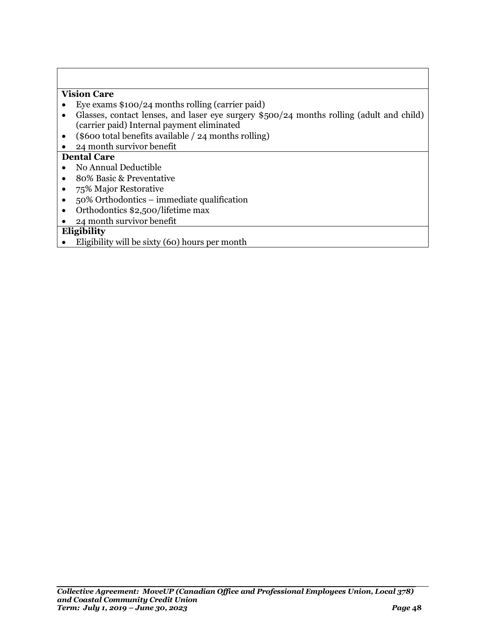### **Vision Care**

- Eye exams \$100/24 months rolling (carrier paid)
- Glasses, contact lenses, and laser eye surgery \$500/24 months rolling (adult and child) (carrier paid) Internal payment eliminated
- (\$600 total benefits available / 24 months rolling)
- 24 month survivor benefit

### **Dental Care**

- No Annual Deductible
- 80% Basic & Preventative
- 75% Major Restorative
- 50% Orthodontics immediate qualification
- Orthodontics \$2,500/lifetime max
- 24 month survivor benefit

### **Eligibility**

Eligibility will be sixty (60) hours per month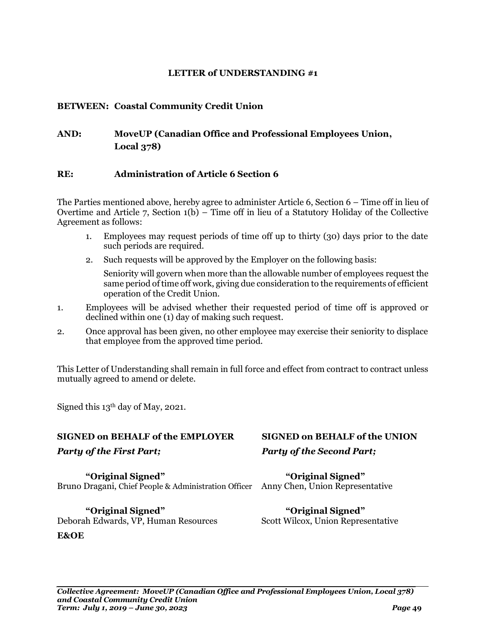### <span id="page-50-0"></span>**BETWEEN: Coastal Community Credit Union**

### **AND: MoveUP (Canadian Office and Professional Employees Union, Local 378)**

### **RE: Administration of Article 6 Section 6**

The Parties mentioned above, hereby agree to administer Article 6, Section 6 – Time off in lieu of Overtime and Article 7, Section 1(b) – Time off in lieu of a Statutory Holiday of the Collective Agreement as follows:

- 1. Employees may request periods of time off up to thirty (30) days prior to the date such periods are required.
- 2. Such requests will be approved by the Employer on the following basis:

Seniority will govern when more than the allowable number of employees request the same period of time off work, giving due consideration to the requirements of efficient operation of the Credit Union.

- 1. Employees will be advised whether their requested period of time off is approved or declined within one (1) day of making such request.
- 2. Once approval has been given, no other employee may exercise their seniority to displace that employee from the approved time period.

This Letter of Understanding shall remain in full force and effect from contract to contract unless mutually agreed to amend or delete.

Signed this  $13<sup>th</sup>$  day of May, 2021.

### **SIGNED on BEHALF of the EMPLOYER SIGNED on BEHALF of the UNION**

**"Original Signed" "Original Signed"** Bruno Dragani, Chief People & Administration Officer Anny Chen, Union Representative

**"Original Signed" "Original Signed"** Deborah Edwards, VP, Human Resources Scott Wilcox, Union Representative

### **E&OE**

*Party of the First Part; Party of the Second Part;*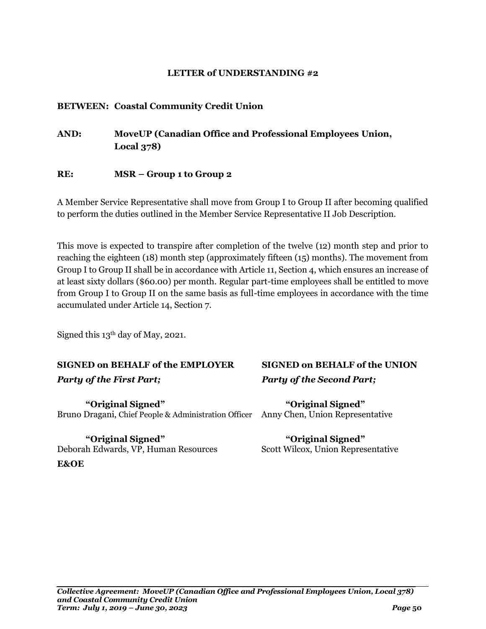### <span id="page-51-0"></span>**BETWEEN: Coastal Community Credit Union**

**AND: MoveUP (Canadian Office and Professional Employees Union, Local 378)**

### **RE: MSR – Group 1 to Group 2**

A Member Service Representative shall move from Group I to Group II after becoming qualified to perform the duties outlined in the Member Service Representative II Job Description.

This move is expected to transpire after completion of the twelve (12) month step and prior to reaching the eighteen (18) month step (approximately fifteen (15) months). The movement from Group I to Group II shall be in accordance with Article 11, Section 4, which ensures an increase of at least sixty dollars (\$60.00) per month. Regular part-time employees shall be entitled to move from Group I to Group II on the same basis as full-time employees in accordance with the time accumulated under Article 14, Section 7.

Signed this 13th day of May, 2021.

### **SIGNED on BEHALF of the EMPLOYER SIGNED on BEHALF of the UNION** *Party of the First Part; Party of the Second Part;*

**"Original Signed" "Original Signed"** Bruno Dragani, Chief People & Administration Officer Anny Chen, Union Representative

**"Original Signed" "Original Signed"** Deborah Edwards, VP, Human Resources Scott Wilcox, Union Representative **E&OE**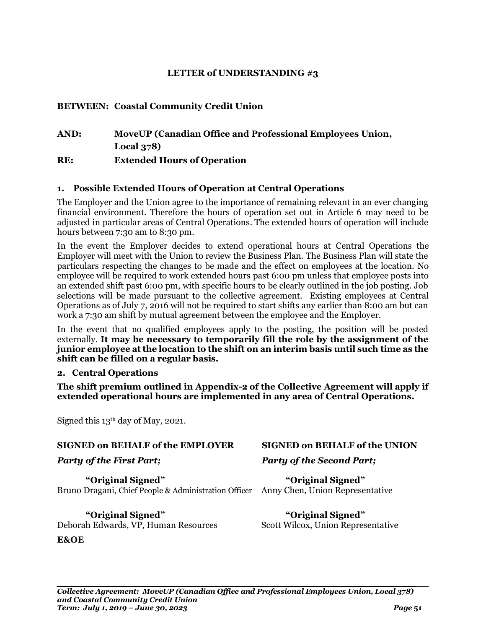### <span id="page-52-0"></span>**BETWEEN: Coastal Community Credit Union**

### **AND: MoveUP (Canadian Office and Professional Employees Union, Local 378) RE: Extended Hours of Operation**

### **1. Possible Extended Hours of Operation at Central Operations**

The Employer and the Union agree to the importance of remaining relevant in an ever changing financial environment. Therefore the hours of operation set out in Article 6 may need to be adjusted in particular areas of Central Operations. The extended hours of operation will include hours between 7:30 am to 8:30 pm.

In the event the Employer decides to extend operational hours at Central Operations the Employer will meet with the Union to review the Business Plan. The Business Plan will state the particulars respecting the changes to be made and the effect on employees at the location. No employee will be required to work extended hours past 6:00 pm unless that employee posts into an extended shift past 6:00 pm, with specific hours to be clearly outlined in the job posting. Job selections will be made pursuant to the collective agreement. Existing employees at Central Operations as of July 7, 2016 will not be required to start shifts any earlier than 8:00 am but can work a 7:30 am shift by mutual agreement between the employee and the Employer.

In the event that no qualified employees apply to the posting, the position will be posted externally. **It may be necessary to temporarily fill the role by the assignment of the junior employee at the location to the shift on an interim basis until such time as the shift can be filled on a regular basis.**

#### **2. Central Operations**

**The shift premium outlined in Appendix-2 of the Collective Agreement will apply if extended operational hours are implemented in any area of Central Operations.**

Signed this  $13<sup>th</sup>$  day of May, 2021.

#### **SIGNED on BEHALF of the EMPLOYER SIGNED on BEHALF of the UNION**

**"Original Signed" "Original Signed"** Bruno Dragani, Chief People & Administration Officer Anny Chen, Union Representative

**"Original Signed" "Original Signed"** Deborah Edwards, VP, Human Resources Scott Wilcox, Union Representative

#### **E&OE**

### *Party of the First Part; Party of the Second Part;*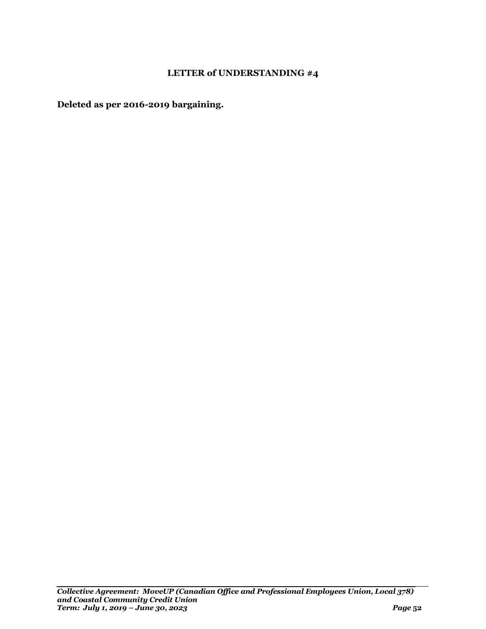<span id="page-53-0"></span>**Deleted as per 2016-2019 bargaining.**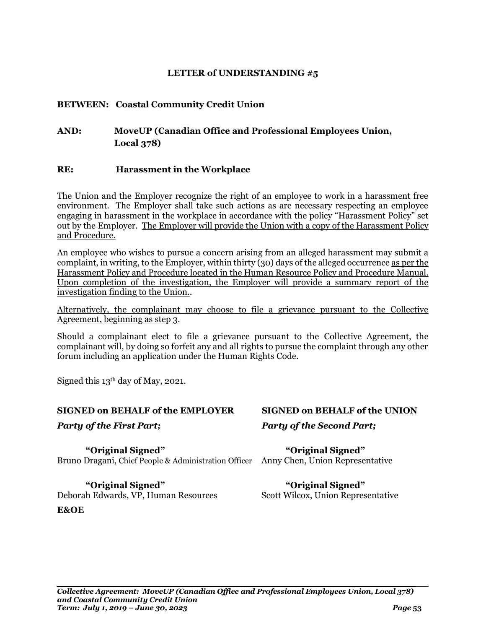### <span id="page-54-0"></span>**BETWEEN: Coastal Community Credit Union**

### **AND: MoveUP (Canadian Office and Professional Employees Union, Local 378)**

### **RE: Harassment in the Workplace**

The Union and the Employer recognize the right of an employee to work in a harassment free environment. The Employer shall take such actions as are necessary respecting an employee engaging in harassment in the workplace in accordance with the policy "Harassment Policy" set out by the Employer. The Employer will provide the Union with a copy of the Harassment Policy and Procedure.

An employee who wishes to pursue a concern arising from an alleged harassment may submit a complaint, in writing, to the Employer, within thirty (30) days of the alleged occurrence as per the Harassment Policy and Procedure located in the Human Resource Policy and Procedure Manual. Upon completion of the investigation, the Employer will provide a summary report of the investigation finding to the Union..

Alternatively, the complainant may choose to file a grievance pursuant to the Collective Agreement, beginning as step 3.

Should a complainant elect to file a grievance pursuant to the Collective Agreement, the complainant will, by doing so forfeit any and all rights to pursue the complaint through any other forum including an application under the Human Rights Code.

Signed this 13th day of May, 2021.

#### **SIGNED on BEHALF of the EMPLOYER SIGNED on BEHALF of the UNION**

**"Original Signed" "Original Signed"** Bruno Dragani, Chief People & Administration Officer Anny Chen, Union Representative

**"Original Signed" "Original Signed"** Deborah Edwards, VP, Human Resources Scott Wilcox, Union Representative **E&OE**

# *Party of the First Part; Party of the Second Part;*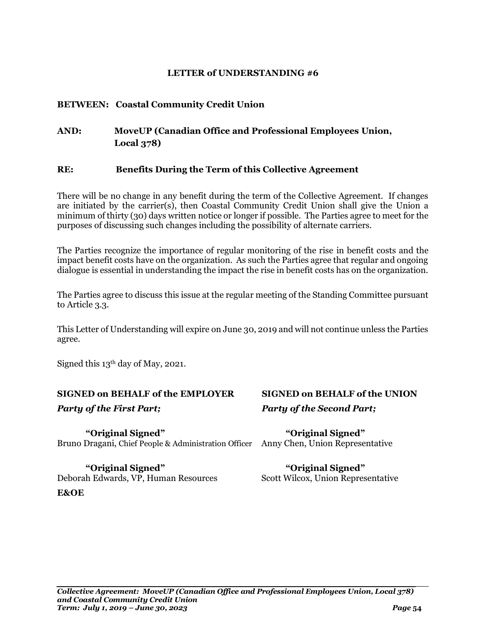### <span id="page-55-0"></span>**BETWEEN: Coastal Community Credit Union**

### **AND: MoveUP (Canadian Office and Professional Employees Union, Local 378)**

### **RE: Benefits During the Term of this Collective Agreement**

There will be no change in any benefit during the term of the Collective Agreement. If changes are initiated by the carrier(s), then Coastal Community Credit Union shall give the Union a minimum of thirty (30) days written notice or longer if possible. The Parties agree to meet for the purposes of discussing such changes including the possibility of alternate carriers.

The Parties recognize the importance of regular monitoring of the rise in benefit costs and the impact benefit costs have on the organization. As such the Parties agree that regular and ongoing dialogue is essential in understanding the impact the rise in benefit costs has on the organization.

The Parties agree to discuss this issue at the regular meeting of the Standing Committee pursuant to Article 3.3.

This Letter of Understanding will expire on June 30, 2019 and will not continue unless the Parties agree.

Signed this  $13<sup>th</sup>$  day of May, 2021.

### **SIGNED on BEHALF of the EMPLOYER SIGNED on BEHALF of the UNION**

**"Original Signed" "Original Signed"** Bruno Dragani, Chief People & Administration Officer Anny Chen, Union Representative

Deborah Edwards, VP, Human Resources **E&OE**

# *Party of the First Part; Party of the Second Part;*

## **"Original Signed" "Original Signed"**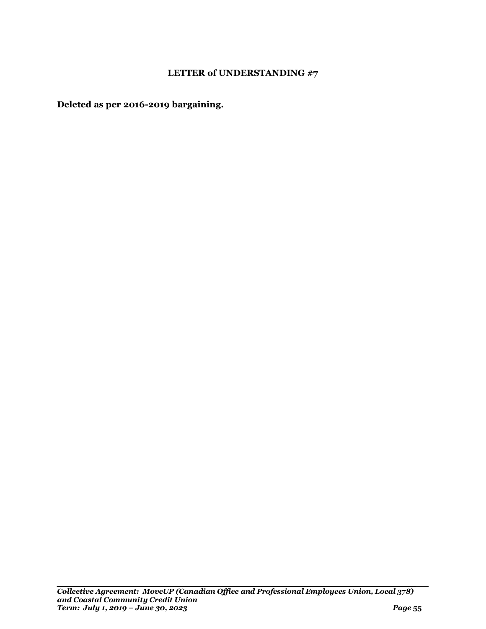<span id="page-56-0"></span>**Deleted as per 2016-2019 bargaining.**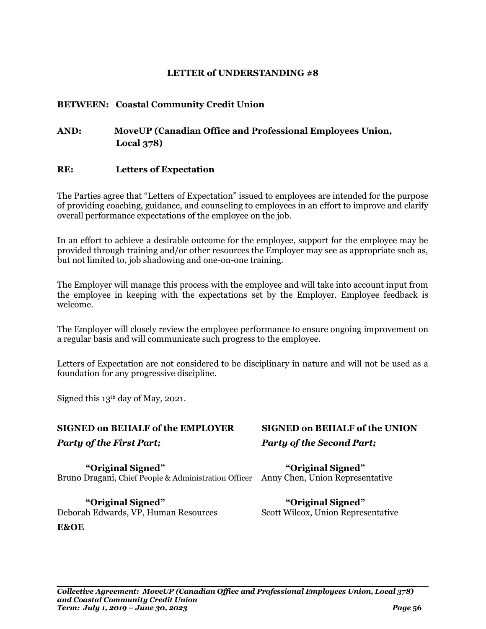### <span id="page-57-0"></span>**BETWEEN: Coastal Community Credit Union**

### **AND: MoveUP (Canadian Office and Professional Employees Union, Local 378)**

### **RE: Letters of Expectation**

The Parties agree that "Letters of Expectation" issued to employees are intended for the purpose of providing coaching, guidance, and counseling to employees in an effort to improve and clarify overall performance expectations of the employee on the job.

In an effort to achieve a desirable outcome for the employee, support for the employee may be provided through training and/or other resources the Employer may see as appropriate such as, but not limited to, job shadowing and one-on-one training.

The Employer will manage this process with the employee and will take into account input from the employee in keeping with the expectations set by the Employer. Employee feedback is welcome.

The Employer will closely review the employee performance to ensure ongoing improvement on a regular basis and will communicate such progress to the employee.

Letters of Expectation are not considered to be disciplinary in nature and will not be used as a foundation for any progressive discipline.

Signed this 13th day of May, 2021.

#### **SIGNED on BEHALF of the EMPLOYER SIGNED on BEHALF of the UNION**

**"Original Signed" "Original Signed"** Bruno Dragani, Chief People & Administration Officer Anny Chen, Union Representative

**"Original Signed" "Original Signed"** Deborah Edwards, VP, Human Resources Scott Wilcox, Union Representative **E&OE**

*Party of the First Part; Party of the Second Part;*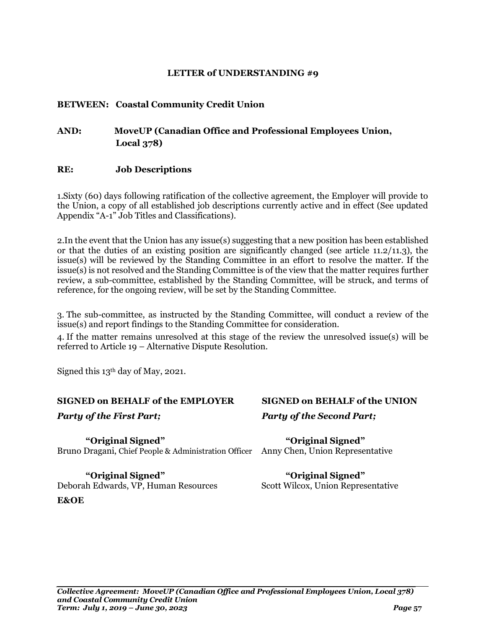### <span id="page-58-0"></span>**BETWEEN: Coastal Community Credit Union**

### **AND: MoveUP (Canadian Office and Professional Employees Union, Local 378)**

### **RE: Job Descriptions**

1.Sixty (60) days following ratification of the collective agreement, the Employer will provide to the Union, a copy of all established job descriptions currently active and in effect (See updated Appendix "A-1" Job Titles and Classifications).

2.In the event that the Union has any issue(s) suggesting that a new position has been established or that the duties of an existing position are significantly changed (see article  $11.2/11.3$ ), the issue(s) will be reviewed by the Standing Committee in an effort to resolve the matter. If the issue(s) is not resolved and the Standing Committee is of the view that the matter requires further review, a sub-committee, established by the Standing Committee, will be struck, and terms of reference, for the ongoing review, will be set by the Standing Committee.

3. The sub-committee, as instructed by the Standing Committee, will conduct a review of the issue(s) and report findings to the Standing Committee for consideration.

4. If the matter remains unresolved at this stage of the review the unresolved issue(s) will be referred to Article 19 – Alternative Dispute Resolution.

Signed this  $13<sup>th</sup>$  day of May, 2021.

#### **SIGNED on BEHALF of the EMPLOYER SIGNED on BEHALF of the UNION**

**"Original Signed" "Original Signed"** Bruno Dragani, Chief People & Administration Officer Anny Chen, Union Representative

**"Original Signed" "Original Signed"** Deborah Edwards, VP, Human Resources Scott Wilcox, Union Representative **E&OE**

# *Party of the First Part; Party of the Second Part;*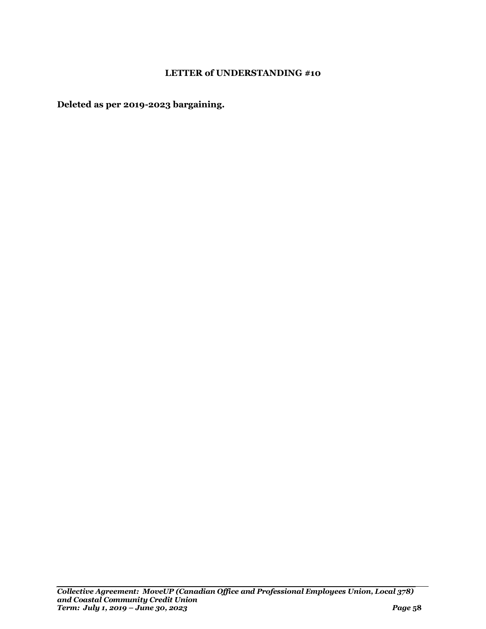<span id="page-59-0"></span>**Deleted as per 2019-2023 bargaining.**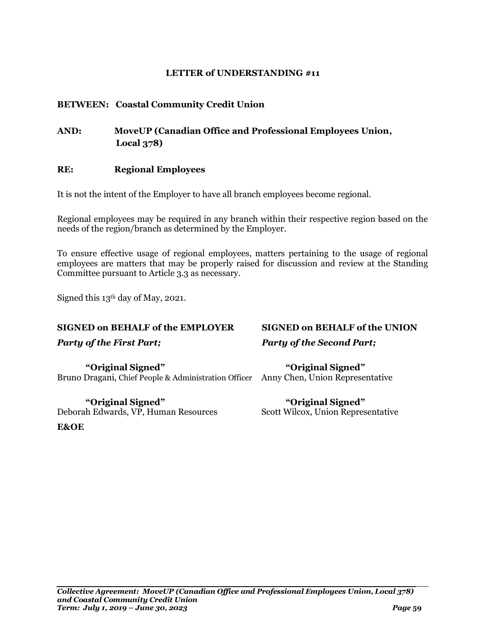### <span id="page-60-0"></span>**BETWEEN: Coastal Community Credit Union**

**AND: MoveUP (Canadian Office and Professional Employees Union, Local 378)**

### **RE: Regional Employees**

It is not the intent of the Employer to have all branch employees become regional.

Regional employees may be required in any branch within their respective region based on the needs of the region/branch as determined by the Employer.

To ensure effective usage of regional employees, matters pertaining to the usage of regional employees are matters that may be properly raised for discussion and review at the Standing Committee pursuant to Article 3.3 as necessary.

Signed this 13th day of May, 2021.

#### **SIGNED on BEHALF of the EMPLOYER SIGNED on BEHALF of the UNION**

**"Original Signed" "Original Signed"** Bruno Dragani, Chief People & Administration Officer Anny Chen, Union Representative

Deborah Edwards, VP, Human Resources

# *Party of the First Part; Party of the Second Part;*

**"Original Signed" "Original Signed"**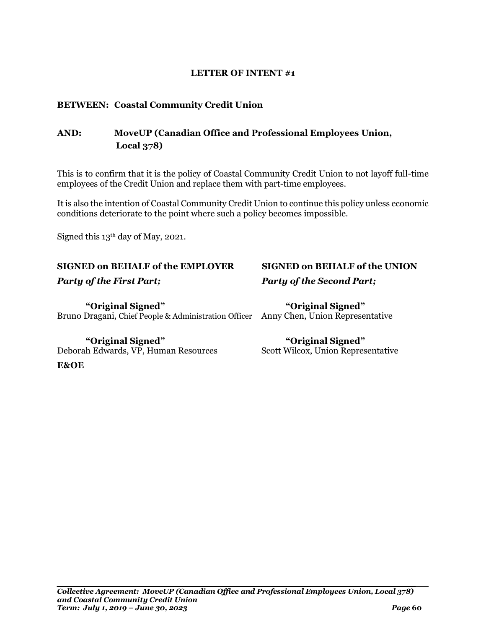### **LETTER OF INTENT #1**

### <span id="page-61-0"></span>**BETWEEN: Coastal Community Credit Union**

### **AND: MoveUP (Canadian Office and Professional Employees Union, Local 378)**

This is to confirm that it is the policy of Coastal Community Credit Union to not layoff full-time employees of the Credit Union and replace them with part-time employees.

It is also the intention of Coastal Community Credit Union to continue this policy unless economic conditions deteriorate to the point where such a policy becomes impossible.

Signed this  $13<sup>th</sup>$  day of May, 2021.

### **SIGNED on BEHALF of the EMPLOYER SIGNED on BEHALF of the UNION**

**"Original Signed" "Original Signed"** Bruno Dragani, Chief People & Administration Officer Anny Chen, Union Representative

Deborah Edwards, VP, Human Resources **E&OE**

## *Party of the First Part; Party of the Second Part;*

**"Original Signed" "Original Signed"**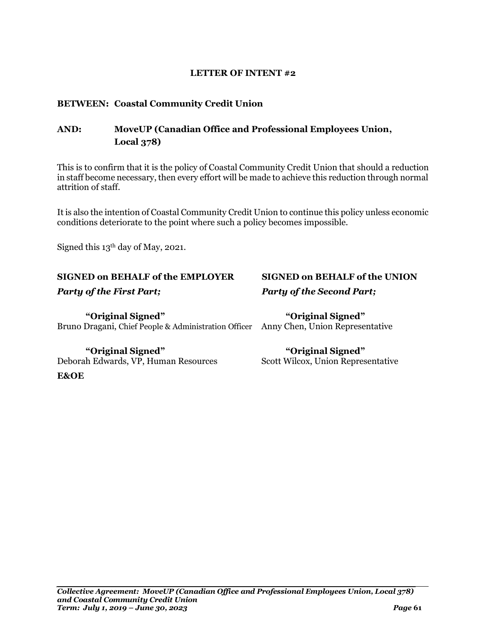#### This is to confirm that it is the policy of Coastal Community Credit Union that should a reduction in staff become necessary, then every effort will be made to achieve this reduction through normal

It is also the intention of Coastal Community Credit Union to continue this policy unless economic conditions deteriorate to the point where such a policy becomes impossible.

Signed this 13th day of May, 2021.

### **SIGNED on BEHALF of the EMPLOYER SIGNED on BEHALF of the UNION**

<span id="page-62-0"></span>**BETWEEN: Coastal Community Credit Union**

**Local 378)**

attrition of staff.

**"Original Signed" "Original Signed"** Bruno Dragani, Chief People & Administration Officer Anny Chen, Union Representative

**"Original Signed" "Original Signed"** Deborah Edwards, VP, Human Resources Scott Wilcox, Union Representative **E&OE**

**AND: MoveUP (Canadian Office and Professional Employees Union,**

#### **LETTER OF INTENT #2**

*Party of the First Part; Party of the Second Part;*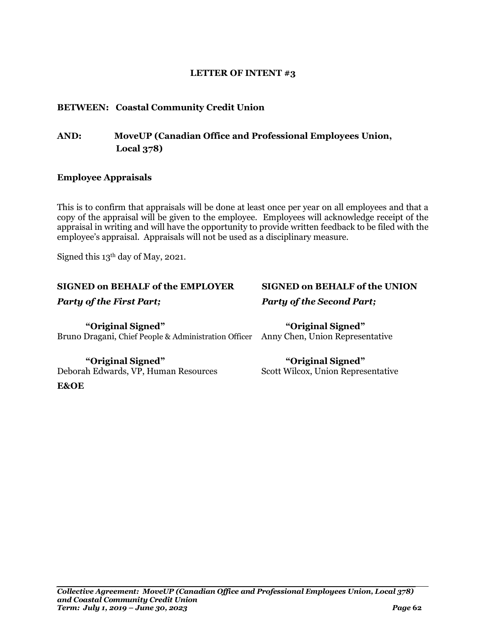### **LETTER OF INTENT #3**

### <span id="page-63-0"></span>**BETWEEN: Coastal Community Credit Union**

### **AND: MoveUP (Canadian Office and Professional Employees Union, Local 378)**

### **Employee Appraisals**

This is to confirm that appraisals will be done at least once per year on all employees and that a copy of the appraisal will be given to the employee. Employees will acknowledge receipt of the appraisal in writing and will have the opportunity to provide written feedback to be filed with the employee's appraisal. Appraisals will not be used as a disciplinary measure.

Signed this  $13<sup>th</sup>$  day of May, 2021.

### **SIGNED on BEHALF of the EMPLOYER SIGNED on BEHALF of the UNION**

**E&OE**

**"Original Signed" "Original Signed"** Bruno Dragani, Chief People & Administration Officer Anny Chen, Union Representative

**"Original Signed" "Original Signed"** Deborah Edwards, VP, Human Resources Scott Wilcox, Union Representative

## *Party of the First Part; Party of the Second Part;*

*Collective Agreement: MoveUP (Canadian Office and Professional Employees Union, Local 378) and Coastal Community Credit Union Term: July 1, 2019 – June 30, 2023 Page* **62**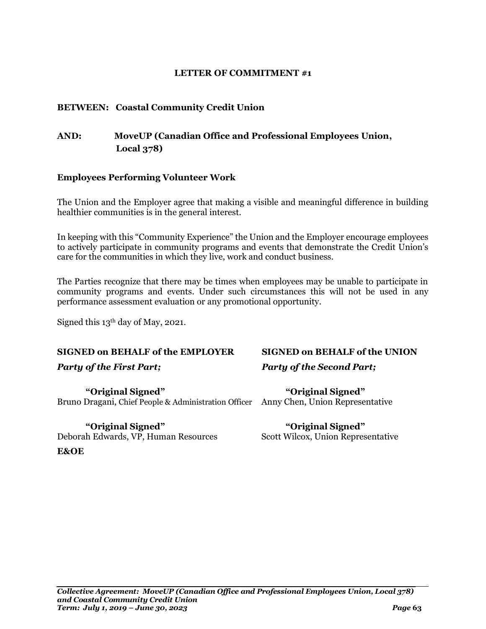### **LETTER OF COMMITMENT #1**

### <span id="page-64-0"></span>**BETWEEN: Coastal Community Credit Union**

### **AND: MoveUP (Canadian Office and Professional Employees Union, Local 378)**

### **Employees Performing Volunteer Work**

The Union and the Employer agree that making a visible and meaningful difference in building healthier communities is in the general interest.

In keeping with this "Community Experience" the Union and the Employer encourage employees to actively participate in community programs and events that demonstrate the Credit Union's care for the communities in which they live, work and conduct business.

The Parties recognize that there may be times when employees may be unable to participate in community programs and events. Under such circumstances this will not be used in any performance assessment evaluation or any promotional opportunity.

Signed this 13th day of May, 2021.

### **SIGNED on BEHALF of the EMPLOYER SIGNED on BEHALF of the UNION**

**"Original Signed" "Original Signed"** Bruno Dragani, Chief People & Administration Officer Anny Chen, Union Representative

**"Original Signed" "Original Signed"** Deborah Edwards, VP, Human Resources Scott Wilcox, Union Representative **E&OE**

# *Party of the First Part; Party of the Second Part;*